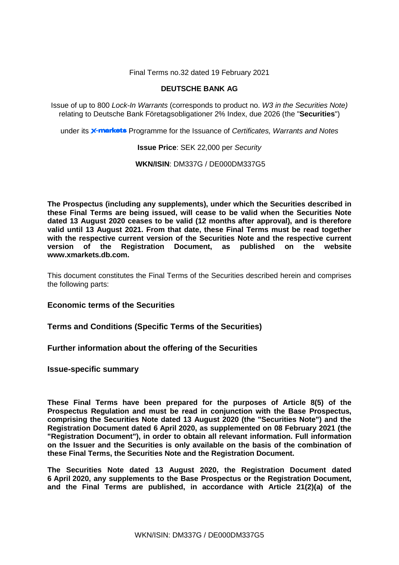Final Terms no.32 dated 19 February 2021

# **DEUTSCHE BANK AG**

Issue of up to 800 *Lock-In Warrants* (corresponds to product no. *W3 in the Securities Note)* relating to Deutsche Bank Företagsobligationer 2% Index, due 2026 (the "**Securities**")

under its **X-markets** Programme for the Issuance of *Certificates, Warrants and Notes* 

**Issue Price**: SEK 22,000 per *Security*

**WKN/ISIN**: DM337G / DE000DM337G5

**The Prospectus (including any supplements), under which the Securities described in these Final Terms are being issued, will cease to be valid when the Securities Note dated 13 August 2020 ceases to be valid (12 months after approval), and is therefore valid until 13 August 2021. From that date, these Final Terms must be read together with the respective current version of the Securities Note and the respective current version of the Registration Document, as published on the website www.xmarkets.db.com.**

This document constitutes the Final Terms of the Securities described herein and comprises the following parts:

**Economic terms of the Securities**

**Terms and Conditions (Specific Terms of the Securities)**

**Further information about the offering of the Securities**

**Issue-specific summary**

**These Final Terms have been prepared for the purposes of Article 8(5) of the Prospectus Regulation and must be read in conjunction with the Base Prospectus, comprising the Securities Note dated 13 August 2020 (the "Securities Note") and the Registration Document dated 6 April 2020, as supplemented on 08 February 2021 (the "Registration Document"), in order to obtain all relevant information. Full information on the Issuer and the Securities is only available on the basis of the combination of these Final Terms, the Securities Note and the Registration Document.** 

**The Securities Note dated 13 August 2020, the Registration Document dated 6 April 2020, any supplements to the Base Prospectus or the Registration Document, and the Final Terms are published, in accordance with Article 21(2)(a) of the**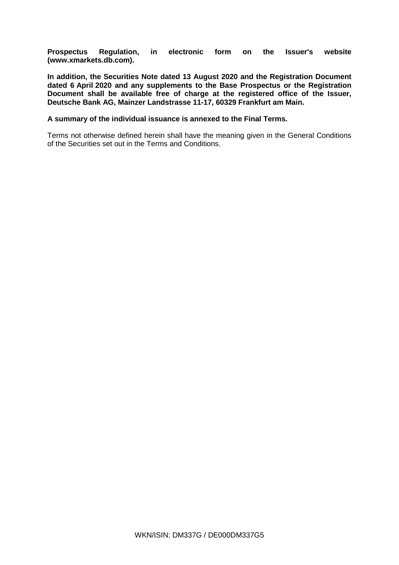**Prospectus Regulation, in electronic form on the Issuer's website [\(www.xmarkets.db.com\)](http://www.xmarkets.db.com/).**

**In addition, the Securities Note dated 13 August 2020 and the Registration Document dated 6 April 2020 and any supplements to the Base Prospectus or the Registration Document shall be available free of charge at the registered office of the Issuer, Deutsche Bank AG, Mainzer Landstrasse 11-17, 60329 Frankfurt am Main.**

### **A summary of the individual issuance is annexed to the Final Terms.**

Terms not otherwise defined herein shall have the meaning given in the General Conditions of the Securities set out in the Terms and Conditions.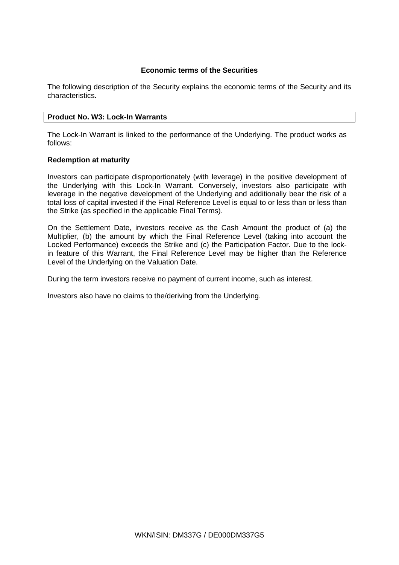# **Economic terms of the Securities**

The following description of the Security explains the economic terms of the Security and its characteristics.

# **Product No. W3: Lock-In Warrants**

The Lock-In Warrant is linked to the performance of the Underlying. The product works as follows:

# **Redemption at maturity**

Investors can participate disproportionately (with leverage) in the positive development of the Underlying with this Lock-In Warrant. Conversely, investors also participate with leverage in the negative development of the Underlying and additionally bear the risk of a total loss of capital invested if the Final Reference Level is equal to or less than or less than the Strike (as specified in the applicable Final Terms).

On the Settlement Date, investors receive as the Cash Amount the product of (a) the Multiplier, (b) the amount by which the Final Reference Level (taking into account the Locked Performance) exceeds the Strike and (c) the Participation Factor. Due to the lockin feature of this Warrant, the Final Reference Level may be higher than the Reference Level of the Underlying on the Valuation Date.

During the term investors receive no payment of current income, such as interest.

Investors also have no claims to the/deriving from the Underlying.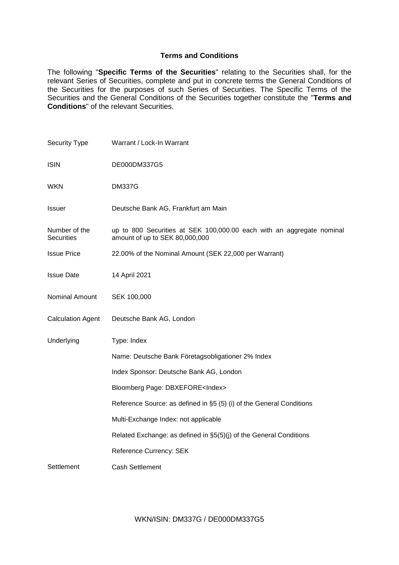# **Terms and Conditions**

The following "**Specific Terms of the Securities**" relating to the Securities shall, for the relevant Series of Securities, complete and put in concrete terms the General Conditions of the Securities for the purposes of such Series of Securities. The Specific Terms of the Securities and the General Conditions of the Securities together constitute the "**Terms and Conditions**" of the relevant Securities.

| <b>Security Type</b>               | Warrant / Lock-In Warrant                                                                               |
|------------------------------------|---------------------------------------------------------------------------------------------------------|
| <b>ISIN</b>                        | DE000DM337G5                                                                                            |
| <b>WKN</b>                         | <b>DM337G</b>                                                                                           |
| Issuer                             | Deutsche Bank AG, Frankfurt am Main                                                                     |
| Number of the<br><b>Securities</b> | up to 800 Securities at SEK 100,000.00 each with an aggregate nominal<br>amount of up to SEK 80,000,000 |
| <b>Issue Price</b>                 | 22.00% of the Nominal Amount (SEK 22,000 per Warrant)                                                   |
| <b>Issue Date</b>                  | 14 April 2021                                                                                           |
| Nominal Amount                     | SEK 100,000                                                                                             |
| <b>Calculation Agent</b>           | Deutsche Bank AG, London                                                                                |
| Underlying                         | Type: Index                                                                                             |
|                                    | Name: Deutsche Bank Företagsobligationer 2% Index                                                       |
|                                    | Index Sponsor: Deutsche Bank AG, London                                                                 |
|                                    | Bloomberg Page: DBXEFORE <index></index>                                                                |
|                                    | Reference Source: as defined in §5 (5) (i) of the General Conditions                                    |
|                                    | Multi-Exchange Index: not applicable                                                                    |
|                                    | Related Exchange: as defined in §5(5)(j) of the General Conditions                                      |
|                                    | Reference Currency: SEK                                                                                 |
| Settlement                         | <b>Cash Settlement</b>                                                                                  |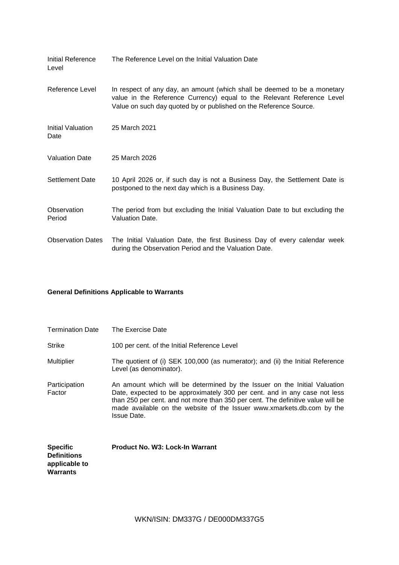| Initial Reference<br>Level | The Reference Level on the Initial Valuation Date                                                                                                                                                                       |
|----------------------------|-------------------------------------------------------------------------------------------------------------------------------------------------------------------------------------------------------------------------|
| Reference Level            | In respect of any day, an amount (which shall be deemed to be a monetary<br>value in the Reference Currency) equal to the Relevant Reference Level<br>Value on such day quoted by or published on the Reference Source. |
| Initial Valuation<br>Date  | 25 March 2021                                                                                                                                                                                                           |
| <b>Valuation Date</b>      | 25 March 2026                                                                                                                                                                                                           |
| <b>Settlement Date</b>     | 10 April 2026 or, if such day is not a Business Day, the Settlement Date is<br>postponed to the next day which is a Business Day.                                                                                       |
| Observation<br>Period      | The period from but excluding the Initial Valuation Date to but excluding the<br>Valuation Date.                                                                                                                        |
| <b>Observation Dates</b>   | The Initial Valuation Date, the first Business Day of every calendar week<br>during the Observation Period and the Valuation Date.                                                                                      |

# **General Definitions Applicable to Warrants**

| <b>Termination Date</b> | The Exercise Date                                                                                                                                                                                                                                                                                                                  |
|-------------------------|------------------------------------------------------------------------------------------------------------------------------------------------------------------------------------------------------------------------------------------------------------------------------------------------------------------------------------|
| <b>Strike</b>           | 100 per cent. of the Initial Reference Level                                                                                                                                                                                                                                                                                       |
| <b>Multiplier</b>       | The quotient of (i) SEK 100,000 (as numerator); and (ii) the Initial Reference<br>Level (as denominator).                                                                                                                                                                                                                          |
| Participation<br>Factor | An amount which will be determined by the Issuer on the Initial Valuation<br>Date, expected to be approximately 300 per cent. and in any case not less<br>than 250 per cent. and not more than 350 per cent. The definitive value will be<br>made available on the website of the Issuer www.xmarkets.db.com by the<br>Issue Date. |

| <b>Specific</b>    | <b>Product No. W3: Lock-In Warrant</b> |
|--------------------|----------------------------------------|
| <b>Definitions</b> |                                        |
| applicable to      |                                        |
| Warrants           |                                        |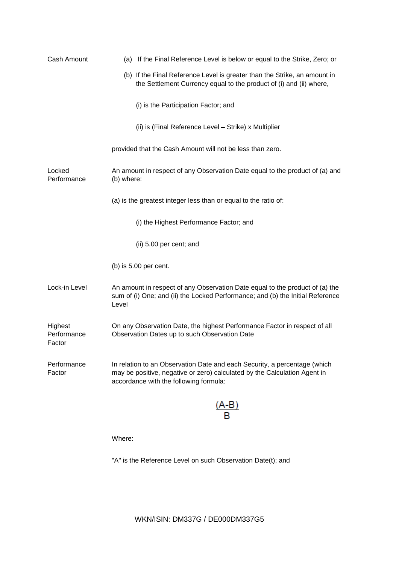| Cash Amount                      | (a) If the Final Reference Level is below or equal to the Strike, Zero; or                                                                                                                       |
|----------------------------------|--------------------------------------------------------------------------------------------------------------------------------------------------------------------------------------------------|
|                                  | (b) If the Final Reference Level is greater than the Strike, an amount in<br>the Settlement Currency equal to the product of (i) and (ii) where,                                                 |
|                                  | (i) is the Participation Factor; and                                                                                                                                                             |
|                                  | (ii) is (Final Reference Level - Strike) x Multiplier                                                                                                                                            |
|                                  | provided that the Cash Amount will not be less than zero.                                                                                                                                        |
| Locked<br>Performance            | An amount in respect of any Observation Date equal to the product of (a) and<br>(b) where:                                                                                                       |
|                                  | (a) is the greatest integer less than or equal to the ratio of:                                                                                                                                  |
|                                  | (i) the Highest Performance Factor; and                                                                                                                                                          |
|                                  | (ii) 5.00 per cent; and                                                                                                                                                                          |
|                                  | (b) is $5.00$ per cent.                                                                                                                                                                          |
| Lock-in Level                    | An amount in respect of any Observation Date equal to the product of (a) the<br>sum of (i) One; and (ii) the Locked Performance; and (b) the Initial Reference<br>Level                          |
| Highest<br>Performance<br>Factor | On any Observation Date, the highest Performance Factor in respect of all<br>Observation Dates up to such Observation Date                                                                       |
| Performance<br>Factor            | In relation to an Observation Date and each Security, a percentage (which<br>may be positive, negative or zero) calculated by the Calculation Agent in<br>accordance with the following formula: |
|                                  | A-B                                                                                                                                                                                              |

Where:

"A" is the Reference Level on such Observation Date(t); and

WKN/ISIN: DM337G / DE000DM337G5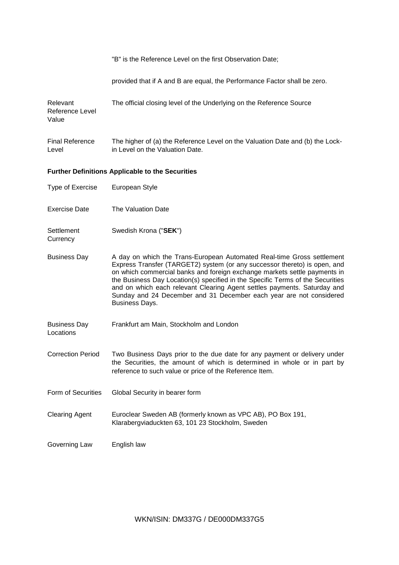|                                             | "B" is the Reference Level on the first Observation Date;                                                                                                                                                                                                                                                                                                                                                                                                                                      |  |  |  |  |
|---------------------------------------------|------------------------------------------------------------------------------------------------------------------------------------------------------------------------------------------------------------------------------------------------------------------------------------------------------------------------------------------------------------------------------------------------------------------------------------------------------------------------------------------------|--|--|--|--|
|                                             | provided that if A and B are equal, the Performance Factor shall be zero.                                                                                                                                                                                                                                                                                                                                                                                                                      |  |  |  |  |
| Relevant<br><b>Reference Level</b><br>Value | The official closing level of the Underlying on the Reference Source                                                                                                                                                                                                                                                                                                                                                                                                                           |  |  |  |  |
| <b>Final Reference</b><br>Level             | The higher of (a) the Reference Level on the Valuation Date and (b) the Lock-<br>in Level on the Valuation Date.                                                                                                                                                                                                                                                                                                                                                                               |  |  |  |  |
|                                             | <b>Further Definitions Applicable to the Securities</b>                                                                                                                                                                                                                                                                                                                                                                                                                                        |  |  |  |  |
| Type of Exercise                            | European Style                                                                                                                                                                                                                                                                                                                                                                                                                                                                                 |  |  |  |  |
| <b>Exercise Date</b>                        | The Valuation Date                                                                                                                                                                                                                                                                                                                                                                                                                                                                             |  |  |  |  |
| Settlement<br>Currency                      | Swedish Krona ("SEK")                                                                                                                                                                                                                                                                                                                                                                                                                                                                          |  |  |  |  |
| <b>Business Day</b>                         | A day on which the Trans-European Automated Real-time Gross settlement<br>Express Transfer (TARGET2) system (or any successor thereto) is open, and<br>on which commercial banks and foreign exchange markets settle payments in<br>the Business Day Location(s) specified in the Specific Terms of the Securities<br>and on which each relevant Clearing Agent settles payments. Saturday and<br>Sunday and 24 December and 31 December each year are not considered<br><b>Business Days.</b> |  |  |  |  |
| <b>Business Day</b><br>Locations            | Frankfurt am Main, Stockholm and London                                                                                                                                                                                                                                                                                                                                                                                                                                                        |  |  |  |  |
| <b>Correction Period</b>                    | Two Business Days prior to the due date for any payment or delivery under<br>the Securities, the amount of which is determined in whole or in part by<br>reference to such value or price of the Reference Item.                                                                                                                                                                                                                                                                               |  |  |  |  |
| Form of Securities                          | Global Security in bearer form                                                                                                                                                                                                                                                                                                                                                                                                                                                                 |  |  |  |  |
| <b>Clearing Agent</b>                       | Euroclear Sweden AB (formerly known as VPC AB), PO Box 191,<br>Klarabergviaduckten 63, 101 23 Stockholm, Sweden                                                                                                                                                                                                                                                                                                                                                                                |  |  |  |  |
| Governing Law                               | English law                                                                                                                                                                                                                                                                                                                                                                                                                                                                                    |  |  |  |  |

WKN/ISIN: DM337G / DE000DM337G5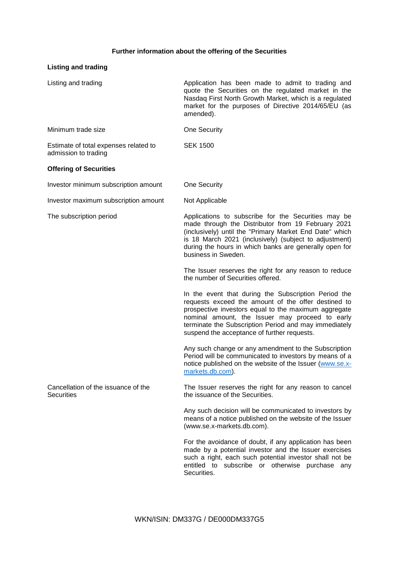# **Further information about the offering of the Securities**

# **Listing and trading**

| Listing and trading                                           | Application has been made to admit to trading and<br>quote the Securities on the regulated market in the<br>Nasdaq First North Growth Market, which is a regulated<br>market for the purposes of Directive 2014/65/EU (as<br>amended).                                                                                         |
|---------------------------------------------------------------|--------------------------------------------------------------------------------------------------------------------------------------------------------------------------------------------------------------------------------------------------------------------------------------------------------------------------------|
| Minimum trade size                                            | <b>One Security</b>                                                                                                                                                                                                                                                                                                            |
| Estimate of total expenses related to<br>admission to trading | <b>SEK 1500</b>                                                                                                                                                                                                                                                                                                                |
| <b>Offering of Securities</b>                                 |                                                                                                                                                                                                                                                                                                                                |
| Investor minimum subscription amount                          | One Security                                                                                                                                                                                                                                                                                                                   |
| Investor maximum subscription amount                          | Not Applicable                                                                                                                                                                                                                                                                                                                 |
| The subscription period                                       | Applications to subscribe for the Securities may be<br>made through the Distributor from 19 February 2021<br>(inclusively) until the "Primary Market End Date" which<br>is 18 March 2021 (inclusively) (subject to adjustment)<br>during the hours in which banks are generally open for<br>business in Sweden.                |
|                                                               | The Issuer reserves the right for any reason to reduce<br>the number of Securities offered.                                                                                                                                                                                                                                    |
|                                                               | In the event that during the Subscription Period the<br>requests exceed the amount of the offer destined to<br>prospective investors equal to the maximum aggregate<br>nominal amount, the Issuer may proceed to early<br>terminate the Subscription Period and may immediately<br>suspend the acceptance of further requests. |
|                                                               | Any such change or any amendment to the Subscription<br>Period will be communicated to investors by means of a<br>notice published on the website of the Issuer (www.se.x-<br>markets.db.com).                                                                                                                                 |
| Cancellation of the issuance of the<br><b>Securities</b>      | The Issuer reserves the right for any reason to cancel<br>the issuance of the Securities.                                                                                                                                                                                                                                      |
|                                                               | Any such decision will be communicated to investors by<br>means of a notice published on the website of the Issuer<br>(www.se.x-markets.db.com).                                                                                                                                                                               |
|                                                               | For the avoidance of doubt, if any application has been<br>made by a potential investor and the Issuer exercises<br>such a right, each such potential investor shall not be<br>entitled to subscribe or otherwise purchase any<br>Securities.                                                                                  |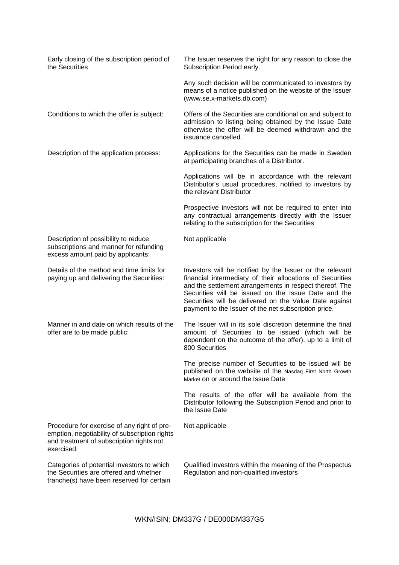| Early closing of the subscription period of<br>the Securities                                                                                          | The Issuer reserves the right for any reason to close the<br>Subscription Period early.                                                                                                                                                                                                                                                                   |
|--------------------------------------------------------------------------------------------------------------------------------------------------------|-----------------------------------------------------------------------------------------------------------------------------------------------------------------------------------------------------------------------------------------------------------------------------------------------------------------------------------------------------------|
|                                                                                                                                                        | Any such decision will be communicated to investors by<br>means of a notice published on the website of the Issuer<br>(www.se.x-markets.db.com)                                                                                                                                                                                                           |
| Conditions to which the offer is subject:                                                                                                              | Offers of the Securities are conditional on and subject to<br>admission to listing being obtained by the Issue Date<br>otherwise the offer will be deemed withdrawn and the<br>issuance cancelled.                                                                                                                                                        |
| Description of the application process:                                                                                                                | Applications for the Securities can be made in Sweden<br>at participating branches of a Distributor.                                                                                                                                                                                                                                                      |
|                                                                                                                                                        | Applications will be in accordance with the relevant<br>Distributor's usual procedures, notified to investors by<br>the relevant Distributor                                                                                                                                                                                                              |
|                                                                                                                                                        | Prospective investors will not be required to enter into<br>any contractual arrangements directly with the Issuer<br>relating to the subscription for the Securities                                                                                                                                                                                      |
| Description of possibility to reduce<br>subscriptions and manner for refunding<br>excess amount paid by applicants:                                    | Not applicable                                                                                                                                                                                                                                                                                                                                            |
| Details of the method and time limits for<br>paying up and delivering the Securities:                                                                  | Investors will be notified by the Issuer or the relevant<br>financial intermediary of their allocations of Securities<br>and the settlement arrangements in respect thereof. The<br>Securities will be issued on the Issue Date and the<br>Securities will be delivered on the Value Date against<br>payment to the Issuer of the net subscription price. |
| Manner in and date on which results of the<br>offer are to be made public:                                                                             | The Issuer will in its sole discretion determine the final<br>amount of Securities to be issued (which will be<br>dependent on the outcome of the offer), up to a limit of<br>800 Securities                                                                                                                                                              |
|                                                                                                                                                        | The precise number of Securities to be issued will be<br>published on the website of the Nasdaq First North Growth<br>Market on or around the Issue Date                                                                                                                                                                                                  |
|                                                                                                                                                        | The results of the offer will be available from the<br>Distributor following the Subscription Period and prior to<br>the Issue Date                                                                                                                                                                                                                       |
| Procedure for exercise of any right of pre-<br>emption, negotiability of subscription rights<br>and treatment of subscription rights not<br>exercised: | Not applicable                                                                                                                                                                                                                                                                                                                                            |
| Categories of potential investors to which<br>the Securities are offered and whether<br>tranche(s) have been reserved for certain                      | Qualified investors within the meaning of the Prospectus<br>Regulation and non-qualified investors                                                                                                                                                                                                                                                        |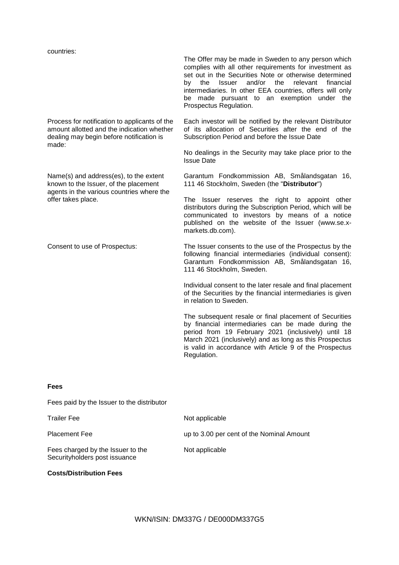Process for notification to applicants of the amount allotted and the indication whether dealing may begin before notification is made:

Name(s) and address(es), to the extent known to the Issuer, of the placement agents in the various countries where the offer takes place.

The Offer may be made in Sweden to any person which complies with all other requirements for investment as set out in the Securities Note or otherwise determined by the Issuer and/or the relevant financial intermediaries. In other EEA countries, offers will only be made pursuant to an exemption under the Prospectus Regulation.

Each investor will be notified by the relevant Distributor of its allocation of Securities after the end of the Subscription Period and before the Issue Date

No dealings in the Security may take place prior to the Issue Date

Garantum Fondkommission AB, Smålandsgatan 16, 111 46 Stockholm, Sweden (the "**Distributor**")

The Issuer reserves the right to appoint other distributors during the Subscription Period, which will be communicated to investors by means of a notice published on the website of the Issuer (www.se.xmarkets.db.com).

Consent to use of Prospectus: The Issuer consents to the use of the Prospectus by the following financial intermediaries (individual consent): Garantum Fondkommission AB, Smålandsgatan 16, 111 46 Stockholm, Sweden.

> Individual consent to the later resale and final placement of the Securities by the financial intermediaries is given in relation to Sweden.

> The subsequent resale or final placement of Securities by financial intermediaries can be made during the period from 19 February 2021 (inclusively) until 18 March 2021 (inclusively) and as long as this Prospectus is valid in accordance with Article 9 of the Prospectus Regulation.

### **Fees**

Fees paid by the Issuer to the distributor

| <b>Trailer Fee</b>                                                 | Not applicable                            |
|--------------------------------------------------------------------|-------------------------------------------|
| <b>Placement Fee</b>                                               | up to 3.00 per cent of the Nominal Amount |
| Fees charged by the Issuer to the<br>Securityholders post issuance | Not applicable                            |

### **Costs/Distribution Fees**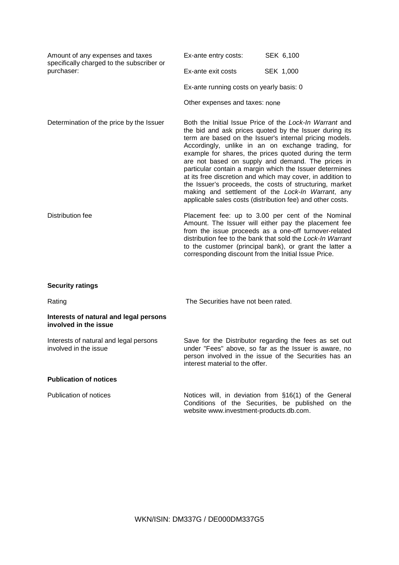| Amount of any expenses and taxes<br>specifically charged to the subscriber or | Ex-ante entry costs:                                                                                                                                                                                                                                                                                                                                                                                                                                                                                                                                                                                                                                    | SEK 6,100                                                                                                                                                                                                                                                                                   |
|-------------------------------------------------------------------------------|---------------------------------------------------------------------------------------------------------------------------------------------------------------------------------------------------------------------------------------------------------------------------------------------------------------------------------------------------------------------------------------------------------------------------------------------------------------------------------------------------------------------------------------------------------------------------------------------------------------------------------------------------------|---------------------------------------------------------------------------------------------------------------------------------------------------------------------------------------------------------------------------------------------------------------------------------------------|
| purchaser:                                                                    | Ex-ante exit costs                                                                                                                                                                                                                                                                                                                                                                                                                                                                                                                                                                                                                                      | SEK 1,000                                                                                                                                                                                                                                                                                   |
|                                                                               | Ex-ante running costs on yearly basis: 0                                                                                                                                                                                                                                                                                                                                                                                                                                                                                                                                                                                                                |                                                                                                                                                                                                                                                                                             |
|                                                                               | Other expenses and taxes: none                                                                                                                                                                                                                                                                                                                                                                                                                                                                                                                                                                                                                          |                                                                                                                                                                                                                                                                                             |
| Determination of the price by the Issuer                                      | Both the Initial Issue Price of the Lock-In Warrant and<br>the bid and ask prices quoted by the Issuer during its<br>term are based on the Issuer's internal pricing models.<br>Accordingly, unlike in an on exchange trading, for<br>example for shares, the prices quoted during the term<br>are not based on supply and demand. The prices in<br>particular contain a margin which the Issuer determines<br>at its free discretion and which may cover, in addition to<br>the Issuer's proceeds, the costs of structuring, market<br>making and settlement of the Lock-In Warrant, any<br>applicable sales costs (distribution fee) and other costs. |                                                                                                                                                                                                                                                                                             |
| Distribution fee                                                              | corresponding discount from the Initial Issue Price.                                                                                                                                                                                                                                                                                                                                                                                                                                                                                                                                                                                                    | Placement fee: up to 3.00 per cent of the Nominal<br>Amount. The Issuer will either pay the placement fee<br>from the issue proceeds as a one-off turnover-related<br>distribution fee to the bank that sold the Lock-In Warrant<br>to the customer (principal bank), or grant the latter a |

### **Security ratings**

Rating Rating Rating Rating Rating Rating Rating Rating Rating Rating Rating Rating Rating Rating Rating Rating Rating Rating Rating Rating Rating Rating Rating Rating Rating Rating Rating Rating Rating Rating Rating Ratin

### **Interests of natural and legal persons involved in the issue**

Interests of natural and legal persons involved in the issue

Save for the Distributor regarding the fees as set out under "Fees" above, so far as the Issuer is aware, no person involved in the issue of the Securities has an interest material to the offer.

# **Publication of notices**

Publication of notices **Notices** Notices will, in deviation from §16(1) of the General Conditions of the Securities, be published on the website www.investment-products.db.com.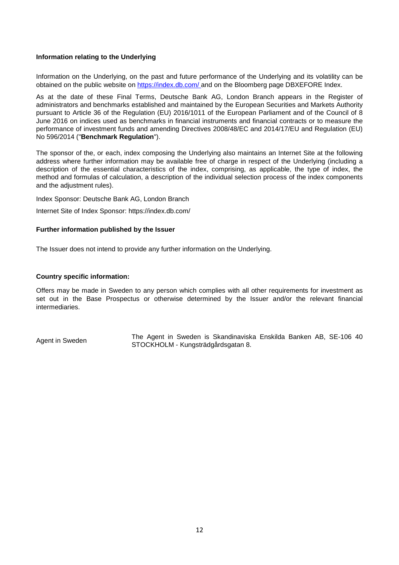### **Information relating to the Underlying**

Information on the Underlying, on the past and future performance of the Underlying and its volatility can be obtained on the public website on https://index.db.com/ and on the Bloomberg page DBXEFORE Index.

As at the date of these Final Terms, Deutsche Bank AG, London Branch appears in the Register of administrators and benchmarks established and maintained by the European Securities and Markets Authority pursuant to Article 36 of the Regulation (EU) 2016/1011 of the European Parliament and of the Council of 8 June 2016 on indices used as benchmarks in financial instruments and financial contracts or to measure the performance of investment funds and amending Directives 2008/48/EC and 2014/17/EU and Regulation (EU) No 596/2014 ("**Benchmark Regulation**").

The sponsor of the, or each, index composing the Underlying also maintains an Internet Site at the following address where further information may be available free of charge in respect of the Underlying (including a description of the essential characteristics of the index, comprising, as applicable, the type of index, the method and formulas of calculation, a description of the individual selection process of the index components and the adjustment rules).

Index Sponsor: Deutsche Bank AG, London Branch

Internet Site of Index Sponsor: https://index.db.com/

### **Further information published by the Issuer**

The Issuer does not intend to provide any further information on the Underlying.

### **Country specific information:**

Offers may be made in Sweden to any person which complies with all other requirements for investment as set out in the Base Prospectus or otherwise determined by the Issuer and/or the relevant financial intermediaries.

Agent in Sweden The Agent in Sweden is Skandinaviska Enskilda Banken AB, SE-106 40 STOCKHOLM - Kungsträdgårdsgatan 8.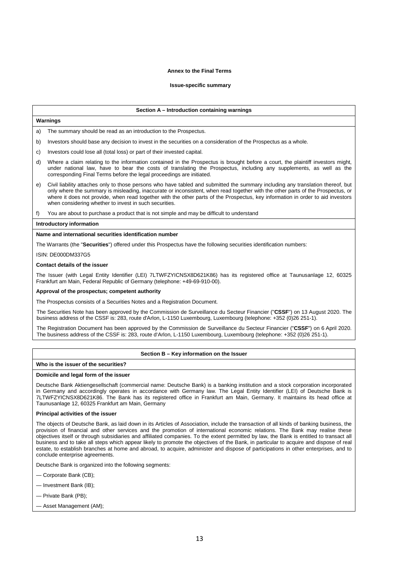#### **Annex to the Final Terms**

#### **Issue-specific summary**

#### **Section A – Introduction containing warnings**

#### **Warnings**

a) The summary should be read as an introduction to the Prospectus.

b) Investors should base any decision to invest in the securities on a consideration of the Prospectus as a whole.

c) Investors could lose all (total loss) or part of their invested capital.

- d) Where a claim relating to the information contained in the Prospectus is brought before a court, the plaintiff investors might, under national law, have to bear the costs of translating the Prospectus, including any supplements, as well as the corresponding Final Terms before the legal proceedings are initiated.
- e) Civil liability attaches only to those persons who have tabled and submitted the summary including any translation thereof, but only where the summary is misleading, inaccurate or inconsistent, when read together with the other parts of the Prospectus, or where it does not provide, when read together with the other parts of the Prospectus, key information in order to aid investors when considering whether to invest in such securities.

f) You are about to purchase a product that is not simple and may be difficult to understand

#### **Introductory information**

#### **Name and international securities identification number**

The Warrants (the "**Securities**") offered under this Prospectus have the following securities identification numbers:

#### ISIN: DE000DM337G5

#### **Contact details of the issuer**

The Issuer (with Legal Entity Identifier (LEI) 7LTWFZYICNSX8D621K86) has its registered office at Taunusanlage 12, 60325 Frankfurt am Main, Federal Republic of Germany (telephone: +49-69-910-00).

#### **Approval of the prospectus; competent authority**

The Prospectus consists of a Securities Notes and a Registration Document.

The Securities Note has been approved by the Commission de Surveillance du Secteur Financier ("**CSSF**") on 13 August 2020. The business address of the CSSF is: 283, route d'Arlon, L-1150 Luxembourg, Luxembourg (telephone: +352 (0)26 251-1).

The Registration Document has been approved by the Commission de Surveillance du Secteur Financier ("**CSSF**") on 6 April 2020. The business address of the CSSF is: 283, route d'Arlon, L-1150 Luxembourg, Luxembourg (telephone: +352 (0)26 251-1).

#### **Section B – Key information on the Issuer**

### **Who is the issuer of the securities?**

#### **Domicile and legal form of the issuer**

Deutsche Bank Aktiengesellschaft (commercial name: Deutsche Bank) is a banking institution and a stock corporation incorporated in Germany and accordingly operates in accordance with Germany law. The Legal Entity Identifier (LEI) of Deutsche Bank is 7LTWFZYICNSX8D621K86. The Bank has its registered office in Frankfurt am Main, Germany. It maintains its head office at Taunusanlage 12, 60325 Frankfurt am Main, Germany

#### **Principal activities of the issuer**

The objects of Deutsche Bank, as laid down in its Articles of Association, include the transaction of all kinds of banking business, the provision of financial and other services and the promotion of international economic relations. The Bank may realise these objectives itself or through subsidiaries and affiliated companies. To the extent permitted by law, the Bank is entitled to transact all business and to take all steps which appear likely to promote the objectives of the Bank, in particular to acquire and dispose of real estate, to establish branches at home and abroad, to acquire, administer and dispose of participations in other enterprises, and to conclude enterprise agreements.

Deutsche Bank is organized into the following segments:

- Corporate Bank (CB);
- Investment Bank (IB);
- Private Bank (PB);
- Asset Management (AM);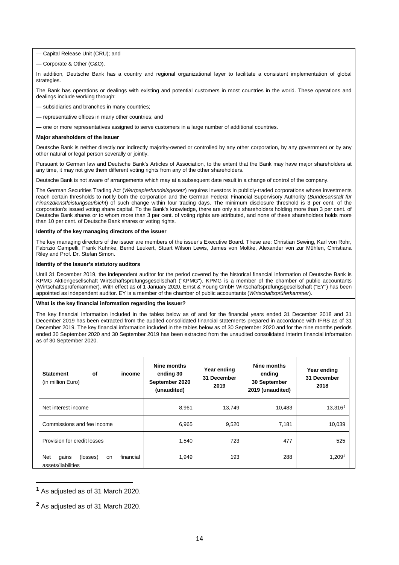— Capital Release Unit (CRU); and

— Corporate & Other (C&O).

In addition, Deutsche Bank has a country and regional organizational layer to facilitate a consistent implementation of global strategies.

The Bank has operations or dealings with existing and potential customers in most countries in the world. These operations and dealings include working through:

— subsidiaries and branches in many countries;

— representative offices in many other countries; and

— one or more representatives assigned to serve customers in a large number of additional countries.

#### **Major shareholders of the issuer**

Deutsche Bank is neither directly nor indirectly majority-owned or controlled by any other corporation, by any government or by any other natural or legal person severally or jointly.

Pursuant to German law and Deutsche Bank's Articles of Association, to the extent that the Bank may have major shareholders at any time, it may not give them different voting rights from any of the other shareholders.

Deutsche Bank is not aware of arrangements which may at a subsequent date result in a change of control of the company.

The German Securities Trading Act (*Wertpapierhandelsgesetz*) requires investors in publicly-traded corporations whose investments reach certain thresholds to notify both the corporation and the German Federal Financial Supervisory Authority (*Bundesanstalt für Finanzdienstleistungsaufsicht*) of such change within four trading days. The minimum disclosure threshold is 3 per cent. of the corporation's issued voting share capital. To the Bank's knowledge, there are only six shareholders holding more than 3 per cent. of Deutsche Bank shares or to whom more than 3 per cent. of voting rights are attributed, and none of these shareholders holds more than 10 per cent. of Deutsche Bank shares or voting rights.

### **Identity of the key managing directors of the issuer**

The key managing directors of the issuer are members of the issuer's Executive Board. These are: Christian Sewing, Karl von Rohr, Fabrizio Campelli, Frank Kuhnke, Bernd Leukert, Stuart Wilson Lewis, James von Moltke, Alexander von zur Mühlen, Christiana Riley and Prof. Dr. Stefan Simon.

#### **Identity of the Issuer's statutory auditors**

Until 31 December 2019, the independent auditor for the period covered by the historical financial information of Deutsche Bank is KPMG Aktiengesellschaft Wirtschaftsprüfungsgesellschaft ("KPMG"). KPMG is a member of the chamber of public accountants (Wirtschaftsprüferkammer). With effect as of 1 January 2020, Ernst & Young GmbH Wirtschaftsprüfungsgesellschaft ("EY") has been appointed as independent auditor. EY is a member of the chamber of public accountants (*Wirtschaftsprüferkammer*).

### **What is the key financial information regarding the issuer?**

The key financial information included in the tables below as of and for the financial years ended 31 December 2018 and 31 December 2019 has been extracted from the audited consolidated financial statements prepared in accordance with IFRS as of 31 December 2019. The key financial information included in the tables below as of 30 September 2020 and for the nine months periods ended 30 September 2020 and 30 September 2019 has been extracted from the unaudited consolidated interim financial information as of 30 September 2020.

| <b>of</b><br><b>Statement</b><br>income<br>(in million Euro)      | Nine months<br>ending 30<br>September 2020<br>(unaudited) | Year ending<br>31 December<br>2019 | Nine months<br>ending<br>30 September<br>2019 (unaudited) | Year ending<br>31 December<br>2018 |
|-------------------------------------------------------------------|-----------------------------------------------------------|------------------------------------|-----------------------------------------------------------|------------------------------------|
| Net interest income                                               | 8,961                                                     | 13,749                             | 10,483                                                    | 13,316 <sup>1</sup>                |
| Commissions and fee income                                        | 6,965                                                     | 9,520                              | 7,181                                                     | 10,039                             |
| Provision for credit losses                                       | 1,540                                                     | 723                                | 477                                                       | 525                                |
| Net<br>financial<br>(losses)<br>qains<br>on<br>assets/liabilities | 1,949                                                     | 193                                | 288                                                       | $1,209^2$                          |

<span id="page-13-0"></span>**<sup>1</sup>** As adjusted as of 31 March 2020.

**.** 

<span id="page-13-1"></span>**<sup>2</sup>** As adjusted as of 31 March 2020.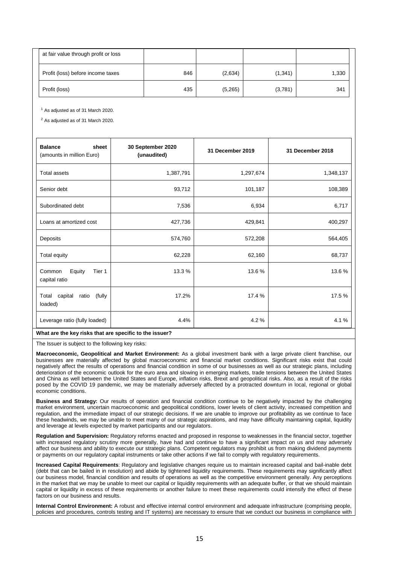| at fair value through profit or loss |     |         |          |       |
|--------------------------------------|-----|---------|----------|-------|
| Profit (loss) before income taxes    | 846 | (2,634) | (1, 341) | 1,330 |
| Profit (loss)                        | 435 | (5,265) | (3,781)  | 341   |

 $<sup>1</sup>$  As adjusted as of 31 March 2020.</sup>

<sup>2</sup> As adjusted as of 31 March 2020.

| <b>Balance</b><br>sheet<br>(amounts in million Euro) | 30 September 2020<br>(unaudited) | 31 December 2019 | 31 December 2018 |
|------------------------------------------------------|----------------------------------|------------------|------------------|
| <b>Total assets</b>                                  | 1,387,791                        | 1,297,674        | 1,348,137        |
| Senior debt                                          | 93,712                           | 101,187          | 108,389          |
| Subordinated debt                                    | 7,536                            | 6,934            | 6,717            |
| Loans at amortized cost                              | 427,736                          | 429,841          | 400,297          |
| Deposits                                             | 574,760                          | 572,208          | 564,405          |
| Total equity                                         | 62,228                           | 62,160           | 68,737           |
| Common<br>Equity<br>Tier 1<br>capital ratio          | 13.3 %                           | 13.6%            | 13.6 %           |
| Total capital ratio (fully<br>loaded)                | 17.2%                            | 17.4 %           | 17.5 %           |
| Leverage ratio (fully loaded)<br>$\mathbf{r}$        | 4.4%<br>$\mathbf{r}$             | 4.2%             | 4.1%             |

**What are the key risks that are specific to the issuer?**

The Issuer is subject to the following key risks:

**Macroeconomic, Geopolitical and Market Environment:** As a global investment bank with a large private client franchise, our businesses are materially affected by global macroeconomic and financial market conditions. Significant risks exist that could negatively affect the results of operations and financial condition in some of our businesses as well as our strategic plans, including deterioration of the economic outlook for the euro area and slowing in emerging markets, trade tensions between the United States and China as well between the United States and Europe, inflation risks, Brexit and geopolitical risks. Also, as a result of the risks posed by the COVID 19 pandemic, we may be materially adversely affected by a protracted downturn in local, regional or global economic conditions.

**Business and Strategy:** Our results of operation and financial condition continue to be negatively impacted by the challenging market environment, uncertain macroeconomic and geopolitical conditions, lower levels of client activity, increased competition and regulation, and the immediate impact of our strategic decisions. If we are unable to improve our profitability as we continue to face these headwinds, we may be unable to meet many of our strategic aspirations, and may have difficulty maintaining capital, liquidity and leverage at levels expected by market participants and our regulators.

**Regulation and Supervision:** Regulatory reforms enacted and proposed in response to weaknesses in the financial sector, together with increased regulatory scrutiny more generally, have had and continue to have a significant impact on us and may adversely affect our business and ability to execute our strategic plans. Competent regulators may prohibit us from making dividend payments or payments on our regulatory capital instruments or take other actions if we fail to comply with regulatory requirements.

**Increased Capital Requirements**: Regulatory and legislative changes require us to maintain increased capital and bail-inable debt (debt that can be bailed in in resolution) and abide by tightened liquidity requirements. These requirements may significantly affect our business model, financial condition and results of operations as well as the competitive environment generally. Any perceptions in the market that we may be unable to meet our capital or liquidity requirements with an adequate buffer, or that we should maintain capital or liquidity in excess of these requirements or another failure to meet these requirements could intensify the effect of these factors on our business and results.

**Internal Control Environment:** A robust and effective internal control environment and adequate infrastructure (comprising people, policies and procedures, controls testing and IT systems) are necessary to ensure that we conduct our business in compliance with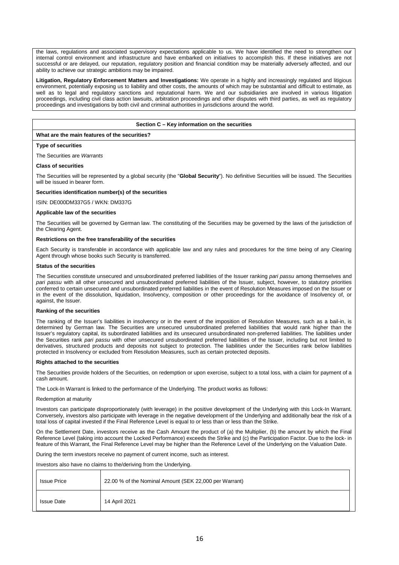the laws, regulations and associated supervisory expectations applicable to us. We have identified the need to strengthen our internal control environment and infrastructure and have embarked on initiatives to accomplish this. If these initiatives are not successful or are delayed, our reputation, regulatory position and financial condition may be materially adversely affected, and our ability to achieve our strategic ambitions may be impaired.

**Litigation, Regulatory Enforcement Matters and Investigations:** We operate in a highly and increasingly regulated and litigious environment, potentially exposing us to liability and other costs, the amounts of which may be substantial and difficult to estimate, as well as to legal and regulatory sanctions and reputational harm. We and our subsidiaries are involved in various litigation proceedings, including civil class action lawsuits, arbitration proceedings and other disputes with third parties, as well as regulatory proceedings and investigations by both civil and criminal authorities in jurisdictions around the world.

### **Section C – Key information on the securities**

### **What are the main features of the securities?**

### **Type of securities**

The Securities are *Warrants*

### **Class of securities**

The Securities will be represented by a global security (the "**Global Security**"). No definitive Securities will be issued. The Securities will be issued in bearer form.

### **Securities identification number(s) of the securities**

ISIN: DE000DM337G5 / WKN: DM337G

#### **Applicable law of the securities**

The Securities will be governed by German law. The constituting of the Securities may be governed by the laws of the jurisdiction of the Clearing Agent.

### **Restrictions on the free transferability of the securities**

Each Security is transferable in accordance with applicable law and any rules and procedures for the time being of any Clearing Agent through whose books such Security is transferred.

#### **Status of the securities**

The Securities constitute unsecured and unsubordinated preferred liabilities of the Issuer ranking *pari passu* among themselves and *pari passu* with all other unsecured and unsubordinated preferred liabilities of the Issuer, subject, however, to statutory priorities conferred to certain unsecured and unsubordinated preferred liabilities in the event of Resolution Measures imposed on the Issuer or in the event of the dissolution, liquidation, Insolvency, composition or other proceedings for the avoidance of Insolvency of, or against, the Issuer.

### **Ranking of the securities**

The ranking of the Issuer's liabilities in insolvency or in the event of the imposition of Resolution Measures, such as a bail-in, is determined by German law. The Securities are unsecured unsubordinated preferred liabilities that would rank higher than the Issuer's regulatory capital, its subordinated liabilities and its unsecured unsubordinated non-preferred liabilities. The liabilities under the Securities rank *pari passu* with other unsecured unsubordinated preferred liabilities of the Issuer, including but not limited to derivatives, structured products and deposits not subject to protection. The liabilities under the Securities rank below liabilities protected in Insolvency or excluded from Resolution Measures, such as certain protected deposits.

#### **Rights attached to the securities**

The Securities provide holders of the Securities, on redemption or upon exercise, subject to a total loss, with a claim for payment of a cash amount.

The Lock-In Warrant is linked to the performance of the Underlying. The product works as follows:

#### Redemption at maturity

Investors can participate disproportionately (with leverage) in the positive development of the Underlying with this Lock-In Warrant. Conversely, investors also participate with leverage in the negative development of the Underlying and additionally bear the risk of a total loss of capital invested if the Final Reference Level is equal to or less than or less than the Strike.

On the Settlement Date, investors receive as the Cash Amount the product of (a) the Multiplier, (b) the amount by which the Final Reference Level (taking into account the Locked Performance) exceeds the Strike and (c) the Participation Factor. Due to the lock- in feature of this Warrant, the Final Reference Level may be higher than the Reference Level of the Underlying on the Valuation Date.

During the term investors receive no payment of current income, such as interest.

Investors also have no claims to the/deriving from the Underlying.

| <b>Issue Price</b> | 22.00 % of the Nominal Amount (SEK 22,000 per Warrant) |
|--------------------|--------------------------------------------------------|
| <b>Issue Date</b>  | 14 April 2021                                          |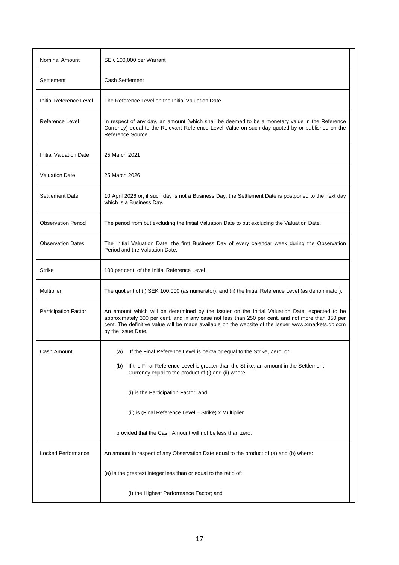| Nominal Amount                | SEK 100,000 per Warrant                                                                                                                                                                                                                                                                                                         |
|-------------------------------|---------------------------------------------------------------------------------------------------------------------------------------------------------------------------------------------------------------------------------------------------------------------------------------------------------------------------------|
| Settlement                    | Cash Settlement                                                                                                                                                                                                                                                                                                                 |
| Initial Reference Level       | The Reference Level on the Initial Valuation Date                                                                                                                                                                                                                                                                               |
| Reference Level               | In respect of any day, an amount (which shall be deemed to be a monetary value in the Reference<br>Currency) equal to the Relevant Reference Level Value on such day quoted by or published on the<br>Reference Source.                                                                                                         |
| <b>Initial Valuation Date</b> | 25 March 2021                                                                                                                                                                                                                                                                                                                   |
| <b>Valuation Date</b>         | 25 March 2026                                                                                                                                                                                                                                                                                                                   |
| <b>Settlement Date</b>        | 10 April 2026 or, if such day is not a Business Day, the Settlement Date is postponed to the next day<br>which is a Business Day.                                                                                                                                                                                               |
| <b>Observation Period</b>     | The period from but excluding the Initial Valuation Date to but excluding the Valuation Date.                                                                                                                                                                                                                                   |
| <b>Observation Dates</b>      | The Initial Valuation Date, the first Business Day of every calendar week during the Observation<br>Period and the Valuation Date.                                                                                                                                                                                              |
| Strike                        | 100 per cent. of the Initial Reference Level                                                                                                                                                                                                                                                                                    |
| Multiplier                    | The quotient of (i) SEK 100,000 (as numerator); and (ii) the Initial Reference Level (as denominator).                                                                                                                                                                                                                          |
| <b>Participation Factor</b>   | An amount which will be determined by the Issuer on the Initial Valuation Date, expected to be<br>approximately 300 per cent. and in any case not less than 250 per cent. and not more than 350 per<br>cent. The definitive value will be made available on the website of the Issuer www.xmarkets.db.com<br>by the Issue Date. |
| Cash Amount                   | If the Final Reference Level is below or equal to the Strike, Zero; or<br>(a)                                                                                                                                                                                                                                                   |
|                               | If the Final Reference Level is greater than the Strike, an amount in the Settlement<br>(b)<br>Currency equal to the product of (i) and (ii) where,                                                                                                                                                                             |
|                               | (i) is the Participation Factor; and                                                                                                                                                                                                                                                                                            |
|                               | (ii) is (Final Reference Level - Strike) x Multiplier                                                                                                                                                                                                                                                                           |
|                               | provided that the Cash Amount will not be less than zero.                                                                                                                                                                                                                                                                       |
| Locked Performance            | An amount in respect of any Observation Date equal to the product of (a) and (b) where:                                                                                                                                                                                                                                         |
|                               | (a) is the greatest integer less than or equal to the ratio of:                                                                                                                                                                                                                                                                 |
|                               | (i) the Highest Performance Factor; and                                                                                                                                                                                                                                                                                         |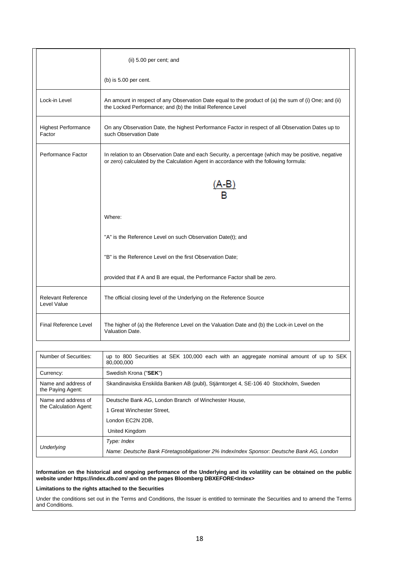|                                          | (ii) 5.00 per cent; and                                                                                                                                                                       |
|------------------------------------------|-----------------------------------------------------------------------------------------------------------------------------------------------------------------------------------------------|
|                                          | (b) is $5.00$ per cent.                                                                                                                                                                       |
| Lock-in Level                            | An amount in respect of any Observation Date equal to the product of (a) the sum of (i) One; and (ii)<br>the Locked Performance; and (b) the Initial Reference Level                          |
| <b>Highest Performance</b><br>Factor     | On any Observation Date, the highest Performance Factor in respect of all Observation Dates up to<br>such Observation Date                                                                    |
| Performance Factor                       | In relation to an Observation Date and each Security, a percentage (which may be positive, negative<br>or zero) calculated by the Calculation Agent in accordance with the following formula: |
|                                          |                                                                                                                                                                                               |
|                                          | Where:                                                                                                                                                                                        |
|                                          | "A" is the Reference Level on such Observation Date(t); and                                                                                                                                   |
|                                          | "B" is the Reference Level on the first Observation Date;                                                                                                                                     |
|                                          | provided that if A and B are equal, the Performance Factor shall be zero.                                                                                                                     |
| <b>Relevant Reference</b><br>Level Value | The official closing level of the Underlying on the Reference Source                                                                                                                          |
| <b>Final Reference Level</b>             | The higher of (a) the Reference Level on the Valuation Date and (b) the Lock-in Level on the<br>Valuation Date.                                                                               |
|                                          |                                                                                                                                                                                               |
| Number of Securities:                    | up to 800 Securities at SEK 100,000 each with an aggregate nominal amount of up to SEK<br>80,000,000                                                                                          |
| $C$ urronovi                             | $C_{W}\sim$ dich Krono ("CEK")                                                                                                                                                                |

| Currency:                                | Swedish Krona ("SEK")                                                                    |
|------------------------------------------|------------------------------------------------------------------------------------------|
| Name and address of<br>the Paying Agent: | Skandinaviska Enskilda Banken AB (publ), Stjärntorget 4, SE-106 40 Stockholm, Sweden     |
| Name and address of                      | Deutsche Bank AG, London Branch of Winchester House,                                     |
| the Calculation Agent:                   | 1 Great Winchester Street,                                                               |
|                                          | London EC2N 2DB,                                                                         |
|                                          | United Kingdom                                                                           |
|                                          | Type: Index                                                                              |
| <b>Underlying</b>                        | Name: Deutsche Bank Företagsobligationer 2% IndexIndex Sponsor: Deutsche Bank AG, London |

**Information on the historical and ongoing performance of the Underlying and its volatility can be obtained on the public website under https://index.db.com/ and on the pages Bloomberg DBXEFORE<Index>**

**Limitations to the rights attached to the Securities**

Under the conditions set out in the Terms and Conditions, the Issuer is entitled to terminate the Securities and to amend the Terms and Conditions.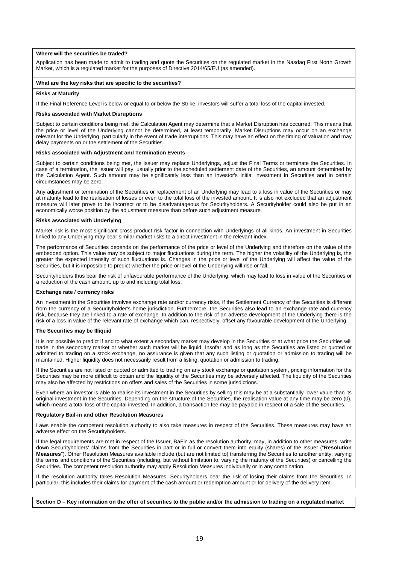#### **Where will the securities be traded?**

Application has been made to admit to trading and quote the Securities on the regulated market in the Nasdaq First North Growth Market, which is a regulated market for the purposes of Directive 2014/65/EU (as amended).

#### **What are the key risks that are specific to the securities?**

#### **Risks at Maturity**

If the Final Reference Level is below or equal to or below the Strike, investors will suffer a total loss of the capital invested.

#### **Risks associated with Market Disruptions**

Subject to certain conditions being met, the Calculation Agent may determine that a Market Disruption has occurred. This means that the price or level of the Underlying cannot be determined, at least temporarily. Market Disruptions may occur on an exchange relevant for the Underlying, particularly in the event of trade interruptions. This may have an effect on the timing of valuation and may delay payments on or the settlement of the Securities.

#### **Risks associated with Adjustment and Termination Events**

Subject to certain conditions being met, the Issuer may replace Underlyings, adjust the Final Terms or terminate the Securities. In case of a termination, the Issuer will pay, usually prior to the scheduled settlement date of the Securities, an amount determined by the Calculation Agent. Such amount may be significantly less than an investor's initial investment in Securities and in certain circumstances may be zero.

Any adjustment or termination of the Securities or replacement of an Underlying may lead to a loss in value of the Securities or may at maturity lead to the realisation of losses or even to the total loss of the invested amount. It is also not excluded that an adjustment measure will later prove to be incorrect or to be disadvantageous for Securityholders. A Securityholder could also be put in an economically worse position by the adjustment measure than before such adjustment measure.

#### **Risks associated with Underlying**

Market risk is the most significant cross-product risk factor in connection with Underlyings of all kinds. An investment in Securities linked to any Underlying may bear similar market risks to a direct investment in the relevant index**.**

The performance of Securities depends on the performance of the price or level of the Underlying and therefore on the value of the embedded option. This value may be subject to major fluctuations during the term. The higher the volatility of the Underlying is, the greater the expected intensity of such fluctuations is. Changes in the price or level of the Underlying will affect the value of the Securities, but it is impossible to predict whether the price or level of the Underlying will rise or fall.

Securityholders thus bear the risk of unfavourable performance of the Underlying, which may lead to loss in value of the Securities or a reduction of the cash amount, up to and including total loss.

#### **Exchange rate / currency risks**

An investment in the Securities involves exchange rate and/or currency risks, if the Settlement Currency of the Securities is different from the currency of a Securityholder's home jurisdiction. Furthermore, the Securities also lead to an exchange rate and currency risk, because they are linked to a rate of exchange. In addition to the risk of an adverse development of the Underlying there is the risk of a loss in value of the relevant rate of exchange which can, respectively, offset any favourable development of the Underlying.

#### **The Securities may be Illiquid**

It is not possible to predict if and to what extent a secondary market may develop in the Securities or at what price the Securities will trade in the secondary market or whether such market will be liquid. Insofar and as long as the Securities are listed or quoted or admitted to trading on a stock exchange, no assurance is given that any such listing or quotation or admission to trading will be maintained. Higher liquidity does not necessarily result from a listing, quotation or admission to trading.

If the Securities are not listed or quoted or admitted to trading on any stock exchange or quotation system, pricing information for the Securities may be more difficult to obtain and the liquidity of the Securities may be adversely affected. The liquidity of the Securities may also be affected by restrictions on offers and sales of the Securities in some jurisdictions.

Even where an investor is able to realise its investment in the Securities by selling this may be at a substantially lower value than its original investment in the Securities. Depending on the structure of the Securities, the realisation value at any time may be zero (0), which means a total loss of the capital invested. In addition, a transaction fee may be payable in respect of a sale of the Securities.

#### **Regulatory Bail-in and other Resolution Measures**

Laws enable the competent resolution authority to also take measures in respect of the Securities. These measures may have an adverse effect on the Securityholders.

If the legal requirements are met in respect of the Issuer, BaFin as the resolution authority, may, in addition to other measures, write down Securityholders' claims from the Securities in part or in full or convert them into equity (shares) of the Issuer ("**Resolution Measures**"). Other Resolution Measures available include (but are not limited to) transferring the Securities to another entity, varying the terms and conditions of the Securities (including, but without limitation to, varying the maturity of the Securities) or cancelling the Securities. The competent resolution authority may apply Resolution Measures individually or in any combination.

If the resolution authority takes Resolution Measures, Securityholders bear the risk of losing their claims from the Securities. In particular, this includes their claims for payment of the cash amount or redemption amount or for delivery of the delivery item.

#### **Section D – Key information on the offer of securities to the public and/or the admission to trading on a regulated market**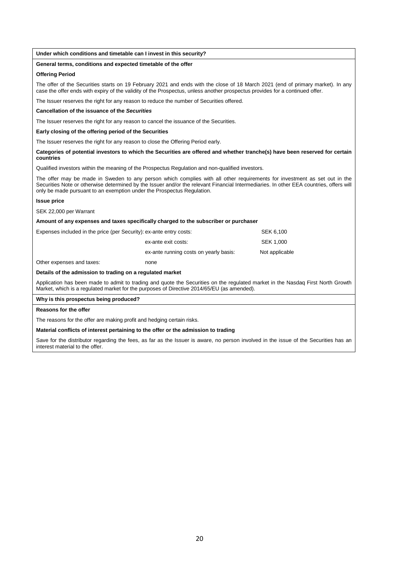#### **Under which conditions and timetable can I invest in this security?**

### **General terms, conditions and expected timetable of the offer**

#### **Offering Period**

The offer of the Securities starts on 19 February 2021 and ends with the close of 18 March 2021 (end of primary market). In any case the offer ends with expiry of the validity of the Prospectus, unless another prospectus provides for a continued offer.

The Issuer reserves the right for any reason to reduce the number of Securities offered.

#### **Cancellation of the issuance of the** *Securities*

The Issuer reserves the right for any reason to cancel the issuance of the Securities.

#### **Early closing of the offering period of the Securities**

The Issuer reserves the right for any reason to close the Offering Period early.

#### **Categories of potential investors to which the Securities are offered and whether tranche(s) have been reserved for certain countries**

Qualified investors within the meaning of the Prospectus Regulation and non-qualified investors.

The offer may be made in Sweden to any person which complies with all other requirements for investment as set out in the Securities Note or otherwise determined by the Issuer and/or the relevant Financial Intermediaries. In other EEA countries, offers will only be made pursuant to an exemption under the Prospectus Regulation.

#### **Issue price**

SEK 22,000 per Warrant

#### **Amount of any expenses and taxes specifically charged to the subscriber or purchaser**

| Expenses included in the price (per Security): ex-ante entry costs: | SEK 6.100 |  |
|---------------------------------------------------------------------|-----------|--|
| ex-ante exit costs:                                                 | SEK 1.000 |  |

|                           | ex-anie exit costs.                    | SEN 1.000      |
|---------------------------|----------------------------------------|----------------|
|                           | ex-ante running costs on yearly basis: | Not applicable |
| Other expenses and taxes: | none                                   |                |

#### **Details of the admission to trading on a regulated market**

Application has been made to admit to trading and quote the Securities on the regulated market in the Nasdaq First North Growth Market, which is a regulated market for the purposes of Directive 2014/65/EU (as amended).

#### **Why is this prospectus being produced?**

#### **Reasons for the offer**

The reasons for the offer are making profit and hedging certain risks.

### **Material conflicts of interest pertaining to the offer or the admission to trading**

Save for the distributor regarding the fees, as far as the Issuer is aware, no person involved in the issue of the Securities has an interest material to the offer.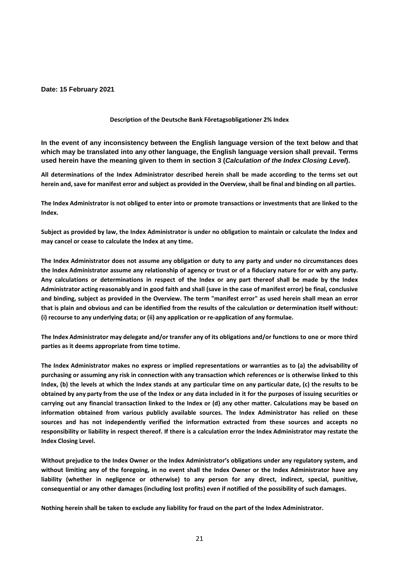### **Date: 15 February 2021**

### **Description of the Deutsche Bank Företagsobligationer 2% Index**

**In the event of any inconsistency between the English language version of the text below and that which may be translated into any other language, the English language version shall prevail. Terms used herein have the meaning given to them in section 3 (***Calculation of the Index Closing Level***).**

**All determinations of the Index Administrator described herein shall be made according to the terms set out herein and,save for manifest error and subject as provided in the Overview,shall be final and binding on all parties.**

**The Index Administrator is not obliged to enter into or promote transactions or investments that are linked to the Index.**

**Subject as provided by law, the Index Administrator is under no obligation to maintain or calculate the Index and may cancel or cease to calculate the Index at any time.**

**The Index Administrator does not assume any obligation or duty to any party and under no circumstances does the Index Administrator assume any relationship of agency or trust or of a fiduciary nature for or with any party. Any calculations or determinations in respect of the Index or any part thereof shall be made by the Index Administrator acting reasonably and in good faith and shall (save in the case of manifest error) be final, conclusive and binding, subject as provided in the Overview. The term "manifest error" as used herein shall mean an error that is plain and obvious and can be identified from the results of the calculation or determination itself without: (i) recourse to any underlying data; or (ii) any application or re-application of any formulae.**

**The Index Administrator may delegate and/or transfer any of its obligations and/or functions to one or more third parties as it deems appropriate from time totime.**

**The Index Administrator makes no express or implied representations or warranties as to (a) the advisability of** purchasing or assuming any risk in connection with any transaction which references or is otherwise linked to this Index, (b) the levels at which the Index stands at any particular time on any particular date, (c) the results to be **obtained by any party from the use of the Index or any data included in it for the purposes of issuing securities or carrying out any financial transaction linked to the Index or (d) any other matter. Calculations may be based on information obtained from various publicly available sources. The Index Administrator has relied on these sources and has not independently verified the information extracted from these sources and accepts no responsibility or liability in respect thereof. If there is a calculation error the Index Administrator may restate the Index Closing Level.**

**Without prejudice to the Index Owner or the Index Administrator's obligations under any regulatory system, and without limiting any of the foregoing, in no event shall the Index Owner or the Index Administrator have any liability (whether in negligence or otherwise) to any person for any direct, indirect, special, punitive, consequential or any other damages (including lost profits) even if notified of the possibility of such damages.**

**Nothing herein shall be taken to exclude any liability for fraud on the part of the Index Administrator.**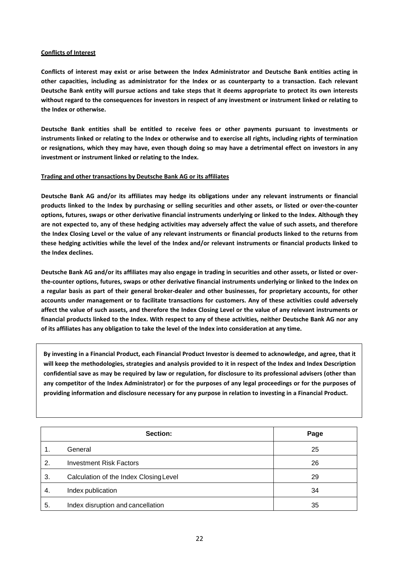### **Conflicts of Interest**

**Conflicts of interest may exist or arise between the Index Administrator and Deutsche Bank entities acting in other capacities, including as administrator for the Index or as counterparty to a transaction. Each relevant Deutsche Bank entity will pursue actions and take steps that it deems appropriate to protect its own interests without regard to the consequences for investors in respect of any investment or instrument linked or relating to the Index or otherwise.**

**Deutsche Bank entities shall be entitled to receive fees or other payments pursuant to investments or instruments linked or relating to the Index or otherwise and to exercise all rights, including rights of termination or resignations, which they may have, even though doing so may have a detrimental effect on investors in any investment or instrument linked or relating to the Index.**

### **Trading and other transactions by Deutsche Bank AG or its affiliates**

**Deutsche Bank AG and/or its affiliates may hedge its obligations under any relevant instruments or financial products linked to the Index by purchasing or selling securities and other assets, or listed or over-the-counter options, futures, swaps or other derivative financial instruments underlying or linked to the Index. Although they are not expected to, any of these hedging activities may adversely affect the value of such assets, and therefore the Index Closing Level or the value of any relevant instruments or financial products linked to the returns from these hedging activities while the level of the Index and/or relevant instruments or financial products linked to the Index declines.**

**Deutsche Bank AG and/or its affiliates may also engage in trading in securities and other assets, or listed or overthe-counter options, futures, swaps or other derivative financial instruments underlying or linked to the Index on a regular basis as part of their general broker-dealer and other businesses, for proprietary accounts, for other accounts under management or to facilitate transactions for customers. Any of these activities could adversely affect the value of such assets, and therefore the Index Closing Level or the value of any relevant instruments or financial products linked to the Index. With respect to any of these activities, neither Deutsche Bank AG nor any of its affiliates has any obligation to take the level of the Index into consideration at any time.**

**By investing in a Financial Product, each Financial Product Investor is deemed to acknowledge, and agree, that it will keep the methodologies, strategies and analysis provided to it in respect of the Index and Index Description confidential save as may be required by law or regulation, for disclosure to its professional advisers (other than any competitor of the Index Administrator) or for the purposes of any legal proceedings or for the purposes of providing information and disclosure necessary for any purpose in relation to investing in a Financial Product.**

|              | Section:                               | Page |
|--------------|----------------------------------------|------|
| 1.           | General                                | 25   |
| $\mathbf{2}$ | <b>Investment Risk Factors</b>         | 26   |
| 3.           | Calculation of the Index Closing Level | 29   |
| 4.           | Index publication                      | 34   |
| -5.          | Index disruption and cancellation      | 35   |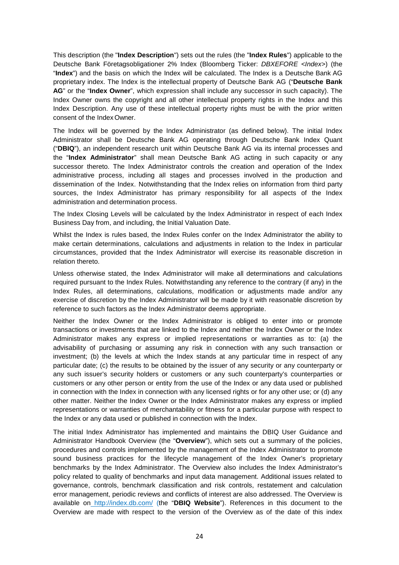This description (the "**Index Description**") sets out the rules (the "**Index Rules**") applicable to the Deutsche Bank Företagsobligationer 2% Index (Bloomberg Ticker: *DBXEFORE <Index>*) (the "**Index**") and the basis on which the Index will be calculated. The Index is a Deutsche Bank AG proprietary index. The Index is the intellectual property of Deutsche Bank AG ("**Deutsche Bank AG**" or the "**Index Owner**", which expression shall include any successor in such capacity). The Index Owner owns the copyright and all other intellectual property rights in the Index and this Index Description. Any use of these intellectual property rights must be with the prior written consent of the Index Owner.

The Index will be governed by the Index Administrator (as defined below). The initial Index Administrator shall be Deutsche Bank AG operating through Deutsche Bank Index Quant ("**DBIQ**"), an independent research unit within Deutsche Bank AG via its internal processes and the "**Index Administrator**" shall mean Deutsche Bank AG acting in such capacity or any successor thereto. The Index Administrator controls the creation and operation of the Index administrative process, including all stages and processes involved in the production and dissemination of the Index. Notwithstanding that the Index relies on information from third party sources, the Index Administrator has primary responsibility for all aspects of the Index administration and determination process.

The Index Closing Levels will be calculated by the Index Administrator in respect of each Index Business Day from, and including, the Initial Valuation Date.

Whilst the Index is rules based, the Index Rules confer on the Index Administrator the ability to make certain determinations, calculations and adjustments in relation to the Index in particular circumstances, provided that the Index Administrator will exercise its reasonable discretion in relation thereto.

Unless otherwise stated, the Index Administrator will make all determinations and calculations required pursuant to the Index Rules. Notwithstanding any reference to the contrary (if any) in the Index Rules, all determinations, calculations, modification or adjustments made and/or any exercise of discretion by the Index Administrator will be made by it with reasonable discretion by reference to such factors as the Index Administrator deems appropriate.

Neither the Index Owner or the Index Administrator is obliged to enter into or promote transactions or investments that are linked to the Index and neither the Index Owner or the Index Administrator makes any express or implied representations or warranties as to: (a) the advisability of purchasing or assuming any risk in connection with any such transaction or investment; (b) the levels at which the Index stands at any particular time in respect of any particular date; (c) the results to be obtained by the issuer of any security or any counterparty or any such issuer's security holders or customers or any such counterparty's counterparties or customers or any other person or entity from the use of the Index or any data used or published in connection with the Index in connection with any licensed rights or for any other use; or (d) any other matter. Neither the Index Owner or the Index Administrator makes any express or implied representations or warranties of merchantability or fitness for a particular purpose with respect to the Index or any data used or published in connection with the Index.

The initial Index Administrator has implemented and maintains the DBIQ User Guidance and Administrator Handbook Overview (the "**Overview**"), which sets out a summary of the policies, procedures and controls implemented by the management of the Index Administrator to promote sound business practices for the lifecycle management of the Index Owner's proprietary benchmarks by the Index Administrator. The Overview also includes the Index Administrator's policy related to quality of benchmarks and input data management. Additional issues related to governance, controls, benchmark classification and risk controls, restatement and calculation error management, periodic reviews and conflicts of interest are also addressed. The Overview is available on <http://index.db.com/> (the "**DBIQ Website**"). References in this document to the Overview are made with respect to the version of the Overview as of the date of this index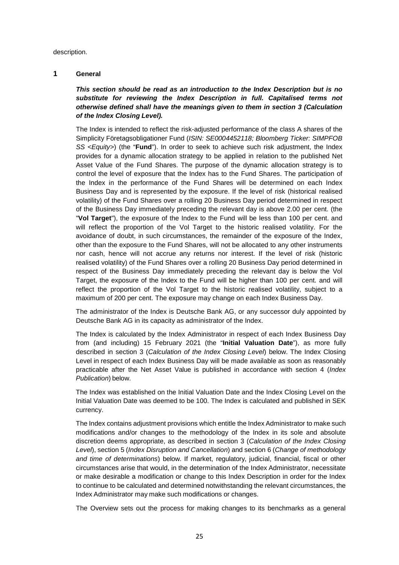### description.

# <span id="page-24-0"></span>**1 General**

*This section should be read as an introduction to the Index Description but is no substitute for reviewing the Index Description in full. Capitalised terms not otherwise defined shall have the meanings given to them in section 3 (Calculation of the Index Closing Level).*

The Index is intended to reflect the risk-adjusted performance of the class A shares of the Simplicity Företagsobligationer Fund (*ISIN: SE0004452118; Bloomberg Ticker: SIMPFOB SS <Equity>*) (the "**Fund**"). In order to seek to achieve such risk adjustment, the Index provides for a dynamic allocation strategy to be applied in relation to the published Net Asset Value of the Fund Shares. The purpose of the dynamic allocation strategy is to control the level of exposure that the Index has to the Fund Shares. The participation of the Index in the performance of the Fund Shares will be determined on each Index Business Day and is represented by the exposure. If the level of risk (historical realised volatility) of the Fund Shares over a rolling 20 Business Day period determined in respect of the Business Day immediately preceding the relevant day is above 2.00 per cent. (the "**Vol Target**"), the exposure of the Index to the Fund will be less than 100 per cent. and will reflect the proportion of the Vol Target to the historic realised volatility. For the avoidance of doubt, in such circumstances, the remainder of the exposure of the Index, other than the exposure to the Fund Shares, will not be allocated to any other instruments nor cash, hence will not accrue any returns nor interest. If the level of risk (historic realised volatility) of the Fund Shares over a rolling 20 Business Day period determined in respect of the Business Day immediately preceding the relevant day is below the Vol Target, the exposure of the Index to the Fund will be higher than 100 per cent. and will reflect the proportion of the Vol Target to the historic realised volatility, subject to a maximum of 200 per cent. The exposure may change on each Index Business Day.

The administrator of the Index is Deutsche Bank AG, or any successor duly appointed by Deutsche Bank AG in its capacity as administrator of the Index.

The Index is calculated by the Index Administrator in respect of each Index Business Day from (and including) 15 February 2021 (the "**Initial Valuation Date**"), as more fully described in section 3 (*Calculation of the Index Closing Level*) below. The Index Closing Level in respect of each Index Business Day will be made available as soon as reasonably practicable after the Net Asset Value is published in accordance with section 4 (*Index Publication*) below.

The Index was established on the Initial Valuation Date and the Index Closing Level on the Initial Valuation Date was deemed to be 100. The Index is calculated and published in SEK currency.

The Index contains adjustment provisions which entitle the Index Administrator to make such modifications and/or changes to the methodology of the Index in its sole and absolute discretion deems appropriate, as described in section 3 (*Calculation of the Index Closing Level*), section 5 (*Index Disruption and Cancellation*) and section 6 (*Change of methodology and time of determinations*) below. If market, regulatory, judicial, financial, fiscal or other circumstances arise that would, in the determination of the Index Administrator, necessitate or make desirable a modification or change to this Index Description in order for the Index to continue to be calculated and determined notwithstanding the relevant circumstances, the Index Administrator may make such modifications or changes.

The Overview sets out the process for making changes to its benchmarks as a general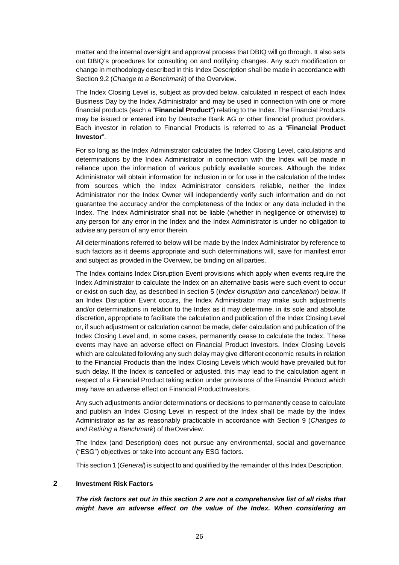matter and the internal oversight and approval process that DBIQ will go through. It also sets out DBIQ's procedures for consulting on and notifying changes. Any such modification or change in methodology described in this Index Description shall be made in accordance with Section 9.2 (*Change to a Benchmark*) of the Overview.

The Index Closing Level is, subject as provided below, calculated in respect of each Index Business Day by the Index Administrator and may be used in connection with one or more financial products (each a "**Financial Product**") relating to the Index. The Financial Products may be issued or entered into by Deutsche Bank AG or other financial product providers. Each investor in relation to Financial Products is referred to as a "**Financial Product Investor**".

For so long as the Index Administrator calculates the Index Closing Level, calculations and determinations by the Index Administrator in connection with the Index will be made in reliance upon the information of various publicly available sources. Although the Index Administrator will obtain information for inclusion in or for use in the calculation of the Index from sources which the Index Administrator considers reliable, neither the Index Administrator nor the Index Owner will independently verify such information and do not guarantee the accuracy and/or the completeness of the Index or any data included in the Index. The Index Administrator shall not be liable (whether in negligence or otherwise) to any person for any error in the Index and the Index Administrator is under no obligation to advise any person of any error therein.

All determinations referred to below will be made by the Index Administrator by reference to such factors as it deems appropriate and such determinations will, save for manifest error and subject as provided in the Overview, be binding on all parties.

The Index contains Index Disruption Event provisions which apply when events require the Index Administrator to calculate the Index on an alternative basis were such event to occur or exist on such day, as described in section 5 (*Index* d*isruption and cancellation*) below. If an Index Disruption Event occurs, the Index Administrator may make such adjustments and/or determinations in relation to the Index as it may determine, in its sole and absolute discretion, appropriate to facilitate the calculation and publication of the Index Closing Level or, if such adjustment or calculation cannot be made, defer calculation and publication of the Index Closing Level and, in some cases, permanently cease to calculate the Index. These events may have an adverse effect on Financial Product Investors. Index Closing Levels which are calculated following any such delay may give different economic results in relation to the Financial Products than the Index Closing Levels which would have prevailed but for such delay. If the Index is cancelled or adjusted, this may lead to the calculation agent in respect of a Financial Product taking action under provisions of the Financial Product which may have an adverse effect on Financial ProductInvestors.

Any such adjustments and/or determinations or decisions to permanently cease to calculate and publish an Index Closing Level in respect of the Index shall be made by the Index Administrator as far as reasonably practicable in accordance with Section 9 (*Changes to and Retiring a Benchmark*) of theOverview.

The Index (and Description) does not pursue any environmental, social and governance ("ESG") objectives or take into account any ESG factors.

This section 1 (*General*) is subject to and qualified by the remainder of this Index Description.

### <span id="page-25-0"></span>**2 Investment Risk Factors**

*The risk factors set out in this section 2 are not a comprehensive list of all risks that might have an adverse effect on the value of the Index. When considering an*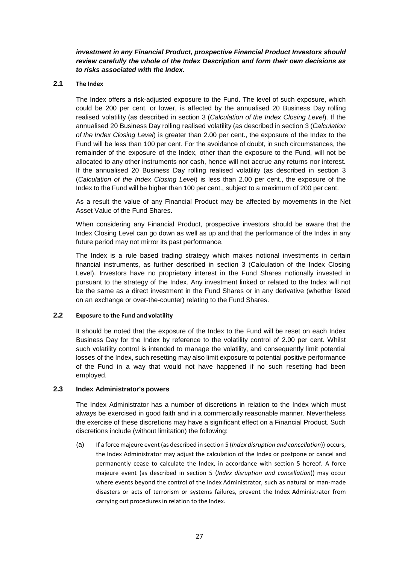*investment in any Financial Product, prospective Financial Product Investors should review carefully the whole of the Index Description and form their own decisions as to risks associated with the Index.*

### **2.1 The Index**

The Index offers a risk-adjusted exposure to the Fund. The level of such exposure, which could be 200 per cent. or lower, is affected by the annualised 20 Business Day rolling realised volatility (as described in section [3](#page-28-1) (*Calculation of the Index Closing Level*). If the annualised 20 Business Day rolling realised volatility (as described in section [3](#page-28-1) (*Calculation of the Index Closing Level*) is greater than 2.00 per cent., the exposure of the Index to the Fund will be less than 100 per cent. For the avoidance of doubt, in such circumstances, the remainder of the exposure of the Index, other than the exposure to the Fund, will not be allocated to any other instruments nor cash, hence will not accrue any returns nor interest. If the annualised 20 Business Day rolling realised volatility (as described in section [3](#page-28-1)  (*Calculation of the Index Closing Level*) is less than 2.00 per cent., the exposure of the Index to the Fund will be higher than 100 per cent., subject to a maximum of 200 per cent.

As a result the value of any Financial Product may be affected by movements in the Net Asset Value of the Fund Shares.

When considering any Financial Product, prospective investors should be aware that the Index Closing Level can go down as well as up and that the performance of the Index in any future period may not mirror its past performance.

The Index is a rule based trading strategy which makes notional investments in certain financial instruments, as further described in section 3 (Calculation of the Index Closing Level). Investors have no proprietary interest in the Fund Shares notionally invested in pursuant to the strategy of the Index. Any investment linked or related to the Index will not be the same as a direct investment in the Fund Shares or in any derivative (whether listed on an exchange or over-the-counter) relating to the Fund Shares.

### **2.2 Exposure to the Fund and volatility**

It should be noted that the exposure of the Index to the Fund will be reset on each Index Business Day for the Index by reference to the volatility control of 2.00 per cent. Whilst such volatility control is intended to manage the volatility, and consequently limit potential losses of the Index, such resetting may also limit exposure to potential positive performance of the Fund in a way that would not have happened if no such resetting had been employed.

### **2.3 Index Administrator's powers**

The Index Administrator has a number of discretions in relation to the Index which must always be exercised in good faith and in a commercially reasonable manner. Nevertheless the exercise of these discretions may have a significant effect on a Financial Product. Such discretions include (without limitation) the following:

(a) If a force majeure event (as described in section 5 (*Index disruption and cancellation*)) occurs, the Index Administrator may adjust the calculation of the Index or postpone or cancel and permanently cease to calculate the Index, in accordance with section 5 hereof. A force majeure event (as described in section 5 (*Index disruption and cancellation*)) may occur where events beyond the control of the Index Administrator, such as natural or man-made disasters or acts of terrorism or systems failures, prevent the Index Administrator from carrying out procedures in relation to the Index.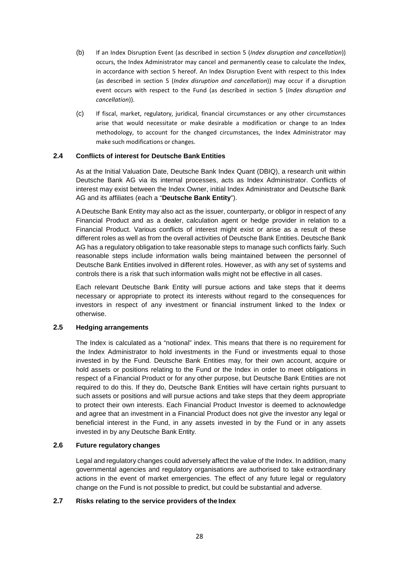- (b) If an Index Disruption Event (as described in section 5 (*Index disruption and cancellation*)) occurs, the Index Administrator may cancel and permanently cease to calculate the Index, in accordance with section 5 hereof. An Index Disruption Event with respect to this Index (as described in section 5 (*Index disruption and cancellation*)) may occur if a disruption event occurs with respect to the Fund (as described in section 5 (*Index disruption and cancellation*)).
- (c) If fiscal, market, regulatory, juridical, financial circumstances or any other circumstances arise that would necessitate or make desirable a modification or change to an Index methodology, to account for the changed circumstances, the Index Administrator may make such modifications or changes.

# **2.4 Conflicts of interest for Deutsche Bank Entities**

As at the Initial Valuation Date, Deutsche Bank Index Quant (DBIQ), a research unit within Deutsche Bank AG via its internal processes, acts as Index Administrator. Conflicts of interest may exist between the Index Owner, initial Index Administrator and Deutsche Bank AG and its affiliates (each a "**Deutsche Bank Entity**").

A Deutsche Bank Entity may also act as the issuer, counterparty, or obligor in respect of any Financial Product and as a dealer, calculation agent or hedge provider in relation to a Financial Product. Various conflicts of interest might exist or arise as a result of these different roles as well as from the overall activities of Deutsche Bank Entities. Deutsche Bank AG has a regulatory obligation to take reasonable steps to manage such conflicts fairly. Such reasonable steps include information walls being maintained between the personnel of Deutsche Bank Entities involved in different roles. However, as with any set of systems and controls there is a risk that such information walls might not be effective in all cases.

Each relevant Deutsche Bank Entity will pursue actions and take steps that it deems necessary or appropriate to protect its interests without regard to the consequences for investors in respect of any investment or financial instrument linked to the Index or otherwise.

# **2.5 Hedging arrangements**

The Index is calculated as a "notional" index. This means that there is no requirement for the Index Administrator to hold investments in the Fund or investments equal to those invested in by the Fund. Deutsche Bank Entities may, for their own account, acquire or hold assets or positions relating to the Fund or the Index in order to meet obligations in respect of a Financial Product or for any other purpose, but Deutsche Bank Entities are not required to do this. If they do, Deutsche Bank Entities will have certain rights pursuant to such assets or positions and will pursue actions and take steps that they deem appropriate to protect their own interests. Each Financial Product Investor is deemed to acknowledge and agree that an investment in a Financial Product does not give the investor any legal or beneficial interest in the Fund, in any assets invested in by the Fund or in any assets invested in by any Deutsche Bank Entity.

# **2.6 Future regulatory changes**

Legal and regulatory changes could adversely affect the value of the Index. In addition, many governmental agencies and regulatory organisations are authorised to take extraordinary actions in the event of market emergencies. The effect of any future legal or regulatory change on the Fund is not possible to predict, but could be substantial and adverse.

# **2.7 Risks relating to the service providers of the Index**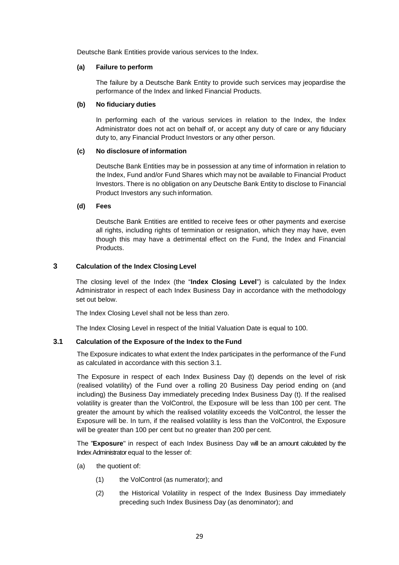Deutsche Bank Entities provide various services to the Index.

### **(a) Failure to perform**

The failure by a Deutsche Bank Entity to provide such services may jeopardise the performance of the Index and linked Financial Products.

### **(b) No fiduciary duties**

In performing each of the various services in relation to the Index, the Index Administrator does not act on behalf of, or accept any duty of care or any fiduciary duty to, any Financial Product Investors or any other person.

# **(c) No disclosure of information**

Deutsche Bank Entities may be in possession at any time of information in relation to the Index, Fund and/or Fund Shares which may not be available to Financial Product Investors. There is no obligation on any Deutsche Bank Entity to disclose to Financial Product Investors any such information.

### **(d) Fees**

Deutsche Bank Entities are entitled to receive fees or other payments and exercise all rights, including rights of termination or resignation, which they may have, even though this may have a detrimental effect on the Fund, the Index and Financial Products.

### <span id="page-28-1"></span><span id="page-28-0"></span>**3 Calculation of the Index Closing Level**

The closing level of the Index (the "**Index Closing Level**") is calculated by the Index Administrator in respect of each Index Business Day in accordance with the methodology set out below.

The Index Closing Level shall not be less than zero.

The Index Closing Level in respect of the Initial Valuation Date is equal to 100.

# **3.1 Calculation of the Exposure of the Index to the Fund**

The Exposure indicates to what extent the Index participates in the performance of the Fund as calculated in accordance with this section 3.1.

The Exposure in respect of each Index Business Day (t) depends on the level of risk (realised volatility) of the Fund over a rolling 20 Business Day period ending on (and including) the Business Day immediately preceding Index Business Day (t). If the realised volatility is greater than the VolControl, the Exposure will be less than 100 per cent. The greater the amount by which the realised volatility exceeds the VolControl, the lesser the Exposure will be. In turn, if the realised volatility is less than the VolControl, the Exposure will be greater than 100 per cent but no greater than 200 per cent.

The "**Exposure**" in respect of each Index Business Day will be an amount calculated by the Index Administrator equal to the lesser of:

- (a) the quotient of:
	- (1) the VolControl (as numerator); and
	- (2) the Historical Volatility in respect of the Index Business Day immediately preceding such Index Business Day (as denominator); and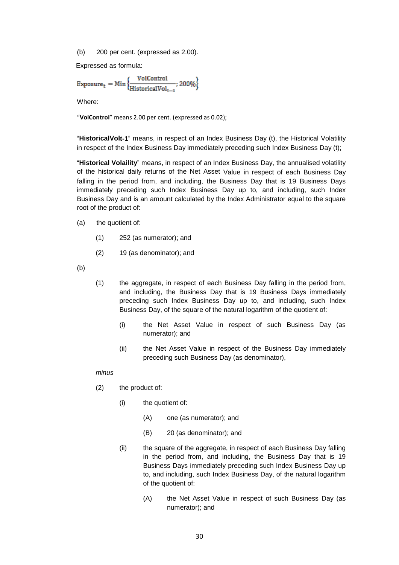(b) 200 per cent. (expressed as 2.00).

Expressed as formula:

$$
Exposure_{t} = Min \left\{ \frac{VolControl}{HistoricalVol_{t-1}}; 200\% \right\}
$$

Where:

"**VolControl**" means 2.00 per cent. (expressed as 0.02);

"**HistoricalVolt-1**" means, in respect of an Index Business Day (t), the Historical Volatility in respect of the Index Business Day immediately preceding such Index Business Day (t);

"**Historical Volaility**" means, in respect of an Index Business Day, the annualised volatility of the historical daily returns of the Net Asset Value in respect of each Business Day falling in the period from, and including, the Business Day that is 19 Business Days immediately preceding such Index Business Day up to, and including, such Index Business Day and is an amount calculated by the Index Administrator equal to the square root of the product of:

- (a) the quotient of:
	- (1) 252 (as numerator); and
	- (2) 19 (as denominator); and

(b)

- (1) the aggregate, in respect of each Business Day falling in the period from, and including, the Business Day that is 19 Business Days immediately preceding such Index Business Day up to, and including, such Index Business Day, of the square of the natural logarithm of the quotient of:
	- (i) the Net Asset Value in respect of such Business Day (as numerator); and
	- (ii) the Net Asset Value in respect of the Business Day immediately preceding such Business Day (as denominator),

### *minus*

- (2) the product of:
	- (i) the quotient of:
		- (A) one (as numerator); and
		- (B) 20 (as denominator); and
	- (ii) the square of the aggregate, in respect of each Business Day falling in the period from, and including, the Business Day that is 19 Business Days immediately preceding such Index Business Day up to, and including, such Index Business Day, of the natural logarithm of the quotient of:
		- (A) the Net Asset Value in respect of such Business Day (as numerator); and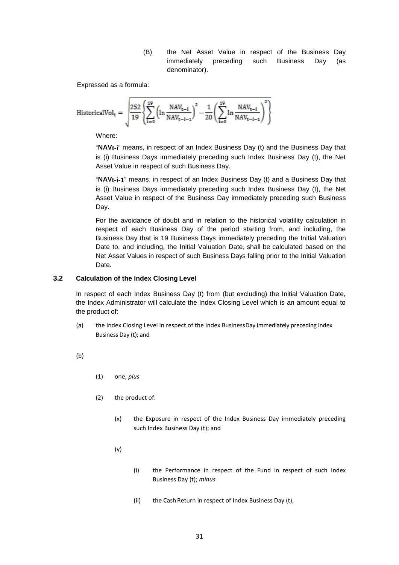(B) the Net Asset Value in respect of the Business Day immediately preceding such Business Day (as denominator).

Expressed as a formula:

$$
\text{HistoricalVol}_{t} = \sqrt{\frac{252}{19} \Biggl\{ \sum_{i=0}^{19} \Biggl(\ln \frac{\text{NAV}_{t-i}}{\text{NAV}_{t-i-1}}\Biggr)^2 - \frac{1}{20} \Biggl(\sum_{i=0}^{19} \ln \frac{\text{NAV}_{t-i}}{\text{NAV}_{t-i-1}}\Biggr)^2 \Biggr\}}
$$

Where:

"**NAVt-i**" means, in respect of an Index Business Day (t) and the Business Day that is (i) Business Days immediately preceding such Index Business Day (t), the Net Asset Value in respect of such Business Day.

"**NAVt-i-1**" means, in respect of an Index Business Day (t) and a Business Day that is (i) Business Days immediately preceding such Index Business Day (t), the Net Asset Value in respect of the Business Day immediately preceding such Business Day.

For the avoidance of doubt and in relation to the historical volatility calculation in respect of each Business Day of the period starting from, and including, the Business Day that is 19 Business Days immediately preceding the Initial Valuation Date to, and including, the Initial Valuation Date, shall be calculated based on the Net Asset Values in respect of such Business Days falling prior to the Initial Valuation Date.

# **3.2 Calculation of the Index Closing Level**

In respect of each Index Business Day (t) from (but excluding) the Initial Valuation Date, the Index Administrator will calculate the Index Closing Level which is an amount equal to the product of:

- (a) the Index Closing Level in respect of the Index BusinessDay immediately preceding Index Business Day (t); and
- (b)
- (1) one; *plus*
- (2) the product of:
	- (x) the Exposure in respect of the Index Business Day immediately preceding such Index Business Day (t); and
	- (y)
- (i) the Performance in respect of the Fund in respect of such Index Business Day (t); *minus*
- (ii) the Cash Return in respect of Index Business Day (t),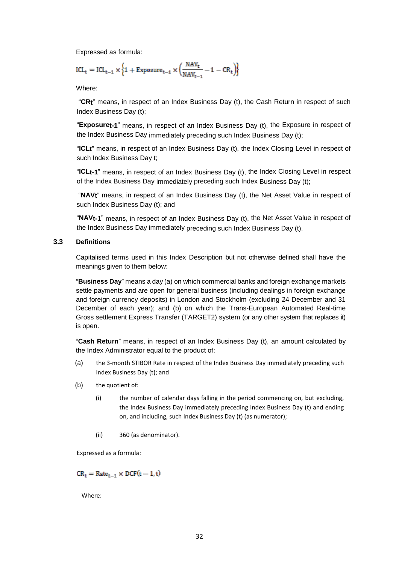Expressed as formula:

$$
ICL_t = ICL_{t-1} \times \left\{ 1 + \text{Exposure}_{t-1} \times \left( \frac{NAV_t}{NAV_{t-1}} - 1 - CR_t \right) \right\}
$$

Where:

"**CRt**" means, in respect of an Index Business Day (t), the Cash Return in respect of such Index Business Day (t);

"**Exposuret-1**" means, in respect of an Index Business Day (t), the Exposure in respect of the Index Business Day immediately preceding such Index Business Day (t);

"**ICLt**" means, in respect of an Index Business Day (t), the Index Closing Level in respect of such Index Business Day t;

"**ICLt-1**" means, in respect of an Index Business Day (t), the Index Closing Level in respect of the Index Business Day immediately preceding such Index Business Day (t);

"**NAVt**" means, in respect of an Index Business Day (t), the Net Asset Value in respect of such Index Business Day (t); and

"**NAVt-1**" means, in respect of an Index Business Day (t), the Net Asset Value in respect of the Index Business Day immediately preceding such Index Business Day (t).

### **3.3 Definitions**

Capitalised terms used in this Index Description but not otherwise defined shall have the meanings given to them below:

"**Business Day**" means a day (a) on which commercial banks and foreign exchange markets settle payments and are open for general business (including dealings in foreign exchange and foreign currency deposits) in London and Stockholm (excluding 24 December and 31 December of each year); and (b) on which the Trans-European Automated Real-time Gross settlement Express Transfer (TARGET2) system (or any other system that replaces it) is open.

"**Cash Return**" means, in respect of an Index Business Day (t), an amount calculated by the Index Administrator equal to the product of:

- (a) the 3-month STIBOR Rate in respect of the Index Business Day immediately preceding such Index Business Day (t); and
- (b) the quotient of:
	- (i) the number of calendar days falling in the period commencing on, but excluding, the Index Business Day immediately preceding Index Business Day (t) and ending on, and including, such Index Business Day (t) (as numerator);
	- (ii) 360 (as denominator).

Expressed as a formula:

 $CR_t = Rate_{t-1} \times DCF(t-1,t)$ 

Where: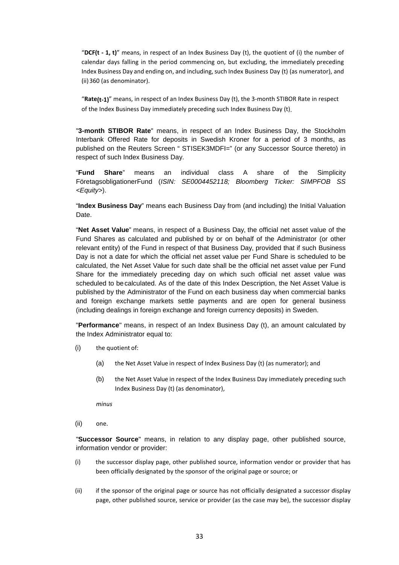"**DCF(t - 1, t)**" means, in respect of an Index Business Day (t), the quotient of (i) the number of calendar days falling in the period commencing on, but excluding, the immediately preceding Index Business Day and ending on, and including,such Index Business Day (t) (as numerator), and (ii) 360 (as denominator).

"**Rate(t-1)**" means, in respect of an Index Business Day (t), the 3-month STIBOR Rate in respect of the Index Business Day immediately preceding such Index Business Day (t).

"**3-month STIBOR Rate**" means, in respect of an Index Business Day, the Stockholm Interbank Offered Rate for deposits in Swedish Kroner for a period of 3 months, as published on the Reuters Screen " STISEK3MDFI=" (or any Successor Source thereto) in respect of such Index Business Day.

"**Fund Share**" means an individual class A share of the Simplicity FöretagsobligationerFund (*ISIN: SE0004452118; Bloomberg Ticker: SIMPFOB SS <Equity>*).

"**Index Business Day**" means each Business Day from (and including) the Initial Valuation Date.

"**Net Asset Value**" means, in respect of a Business Day, the official net asset value of the Fund Shares as calculated and published by or on behalf of the Administrator (or other relevant entity) of the Fund in respect of that Business Day, provided that if such Business Day is not a date for which the official net asset value per Fund Share is scheduled to be calculated, the Net Asset Value for such date shall be the official net asset value per Fund Share for the immediately preceding day on which such official net asset value was scheduled to becalculated. As of the date of this Index Description, the Net Asset Value is published by the Administrator of the Fund on each business day when commercial banks and foreign exchange markets settle payments and are open for general business (including dealings in foreign exchange and foreign currency deposits) in Sweden.

"**Performance**" means, in respect of an Index Business Day (t), an amount calculated by the Index Administrator equal to:

- (i) the quotient of:
	- (a) the Net Asset Value in respect of Index Business Day (t) (as numerator); and
	- (b) the Net Asset Value in respect of the Index Business Day immediately preceding such Index Business Day (t) (as denominator),

*minus*

(ii) one.

"**Successor Source**" means, in relation to any display page, other published source, information vendor or provider:

- (i) the successor display page, other published source, information vendor or provider that has been officially designated by the sponsor of the original page or source; or
- (ii) if the sponsor of the original page or source has not officially designated a successor display page, other published source, service or provider (as the case may be), the successor display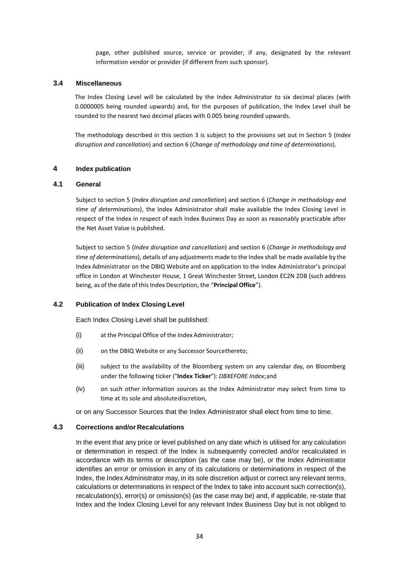page, other published source, service or provider, if any, designated by the relevant information vendor or provider (if different from such sponsor).

### **3.4 Miscellaneous**

The Index Closing Level will be calculated by the Index Administrator to six decimal places (with 0.0000005 being rounded upwards) and, for the purposes of publication, the Index Level shall be rounded to the nearest two decimal places with 0.005 being rounded upwards.

The methodology described in this section 3 is subject to the provisions set out in Section 5 (*Index disruption and cancellation*) and section 6 (*Change of methodology and time of determinations*).

# <span id="page-33-0"></span>**4 Index publication**

### **4.1 General**

Subject to section 5 (*Index disruption and cancellation*) and section 6 (*Change in methodology and time of determinations*), the Index Administrator shall make available the Index Closing Level in respect of the Index in respect of each Index Business Day as soon as reasonably practicable after the Net Asset Value is published.

Subject to section 5 (*Index disruption and cancellation*) and section 6 (*Change in methodology and time of determinations*), details of any adjustments made to the Index shall be made available by the Index Administrator on the DBIQ Website and on application to the Index Administrator's principal office in London at Winchester House, 1 Great Winchester Street, London EC2N 2DB (such address being, as of the date of this Index Description, the "**Principal Office**").

# **4.2 Publication of Index Closing Level**

Each Index Closing Level shall be published:

- (i) at the Principal Office of the Index Administrator;
- (ii) on the DBIQ Website or any Successor Sourcethereto;
- (iii) subject to the availability of the Bloomberg system on any calendar day, on Bloomberg under the following ticker ("**Index Ticker**"): *DBXEFORE Index*;and
- (iv) on such other information sources as the Index Administrator may select from time to time at its sole and absolutediscretion,

or on any Successor Sources that the Index Administrator shall elect from time to time.

### **4.3 Corrections and/or Recalculations**

In the event that any price or level published on any date which is utilised for any calculation or determination in respect of the Index is subsequently corrected and/or recalculated in accordance with its terms or description (as the case may be), or the Index Administrator identifies an error or omission in any of its calculations or determinations in respect of the Index, the Index Administrator may, in its sole discretion adjust or correct any relevant terms, calculations or determinations in respect of the Index to take into account such correction(s), recalculation(s), error(s) or omission(s) (as the case may be) and, if applicable, re-state that Index and the Index Closing Level for any relevant Index Business Day but is not obliged to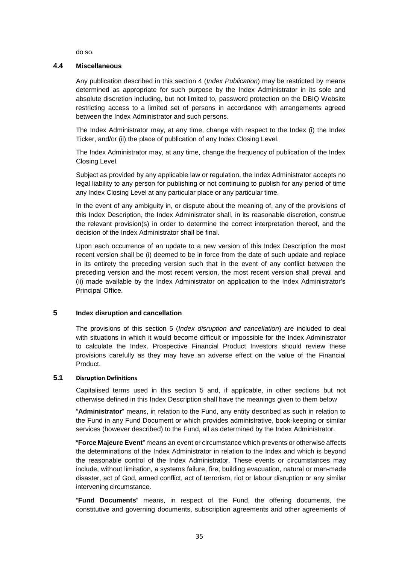do so.

### **4.4 Miscellaneous**

Any publication described in this section 4 (*Index Publication*) may be restricted by means determined as appropriate for such purpose by the Index Administrator in its sole and absolute discretion including, but not limited to, password protection on the DBIQ Website restricting access to a limited set of persons in accordance with arrangements agreed between the Index Administrator and such persons.

The Index Administrator may, at any time, change with respect to the Index (i) the Index Ticker, and/or (ii) the place of publication of any Index Closing Level.

The Index Administrator may, at any time, change the frequency of publication of the Index Closing Level.

Subject as provided by any applicable law or regulation, the Index Administrator accepts no legal liability to any person for publishing or not continuing to publish for any period of time any Index Closing Level at any particular place or any particular time.

In the event of any ambiguity in, or dispute about the meaning of, any of the provisions of this Index Description, the Index Administrator shall, in its reasonable discretion, construe the relevant provision(s) in order to determine the correct interpretation thereof, and the decision of the Index Administrator shall be final.

Upon each occurrence of an update to a new version of this Index Description the most recent version shall be (i) deemed to be in force from the date of such update and replace in its entirety the preceding version such that in the event of any conflict between the preceding version and the most recent version, the most recent version shall prevail and (ii) made available by the Index Administrator on application to the Index Administrator's Principal Office.

### <span id="page-34-0"></span>**5 Index disruption and cancellation**

The provisions of this section 5 (*Index disruption and cancellation*) are included to deal with situations in which it would become difficult or impossible for the Index Administrator to calculate the Index. Prospective Financial Product Investors should review these provisions carefully as they may have an adverse effect on the value of the Financial Product.

### **5.1 Disruption Definitions**

Capitalised terms used in this section 5 and, if applicable, in other sections but not otherwise defined in this Index Description shall have the meanings given to them below

"**Administrator**" means, in relation to the Fund, any entity described as such in relation to the Fund in any Fund Document or which provides administrative, book-keeping or similar services (however described) to the Fund, all as determined by the Index Administrator.

"**Force Majeure Event**" means an event or circumstance which prevents or otherwise affects the determinations of the Index Administrator in relation to the Index and which is beyond the reasonable control of the Index Administrator. These events or circumstances may include, without limitation, a systems failure, fire, building evacuation, natural or man-made disaster, act of God, armed conflict, act of terrorism, riot or labour disruption or any similar intervening circumstance.

"**Fund Documents**" means, in respect of the Fund, the offering documents, the constitutive and governing documents, subscription agreements and other agreements of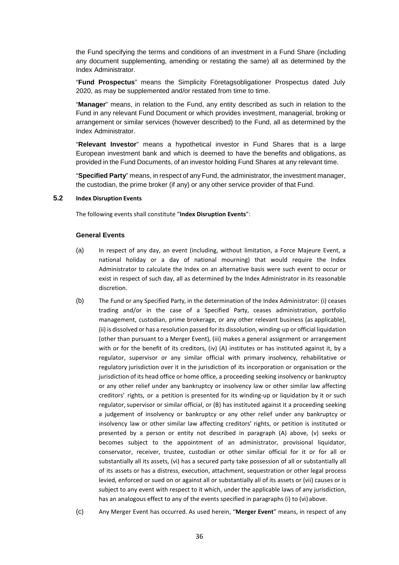the Fund specifying the terms and conditions of an investment in a Fund Share (including any document supplementing, amending or restating the same) all as determined by the Index Administrator.

"**Fund Prospectus**" means the Simplicity Företagsobligationer Prospectus dated July 2020, as may be supplemented and/or restated from time to time.

"**Manager**" means, in relation to the Fund, any entity described as such in relation to the Fund in any relevant Fund Document or which provides investment, managerial, broking or arrangement or similar services (however described) to the Fund, all as determined by the Index Administrator.

"**Relevant Investor**" means a hypothetical investor in Fund Shares that is a large European investment bank and which is deemed to have the benefits and obligations, as provided in the Fund Documents, of an investor holding Fund Shares at any relevant time.

"**Specified Party**" means, in respect of any Fund, the administrator, the investment manager, the custodian, the prime broker (if any) or any other service provider of that Fund.

### **5.2 Index Disruption Events**

The following events shall constitute "**Index Disruption Events**":

### **General Events**

- (a) In respect of any day, an event (including, without limitation, a Force Majeure Event, a national holiday or a day of national mourning) that would require the Index Administrator to calculate the Index on an alternative basis were such event to occur or exist in respect of such day, all as determined by the Index Administrator in its reasonable discretion.
- (b) The Fund or any Specified Party, in the determination of the Index Administrator: (i) ceases trading and/or in the case of a Specified Party, ceases administration, portfolio management, custodian, prime brokerage, or any other relevant business (as applicable), (ii) is dissolved or has a resolution passed forits dissolution, winding-up or official liquidation (other than pursuant to a Merger Event), (iii) makes a general assignment or arrangement with or for the benefit of its creditors, (iv) (A) institutes or has instituted against it, by a regulator, supervisor or any similar official with primary insolvency, rehabilitative or regulatory jurisdiction over it in the jurisdiction of its incorporation or organisation or the jurisdiction of its head office or home office, a proceeding seeking insolvency or bankruptcy or any other relief under any bankruptcy or insolvency law or other similar law affecting creditors' rights, or a petition is presented for its winding-up or liquidation by it or such regulator,supervisor or similar official, or (B) has instituted against it a proceeding seeking a judgement of insolvency or bankruptcy or any other relief under any bankruptcy or insolvency law or other similar law affecting creditors' rights, or petition is instituted or presented by a person or entity not described in paragraph (A) above, (v) seeks or becomes subject to the appointment of an administrator, provisional liquidator, conservator, receiver, trustee, custodian or other similar official for it or for all or substantially all its assets, (vi) has a secured party take possession of all or substantially all of its assets or has a distress, execution, attachment, sequestration or other legal process levied, enforced or sued on or against all or substantially all of its assets or (vii) causes or is subject to any event with respect to it which, under the applicable laws of any jurisdiction, has an analogous effect to any of the events specified in paragraphs (i) to (vi) above.
- (c) Any Merger Event has occurred. As used herein, "**Merger Event**" means, in respect of any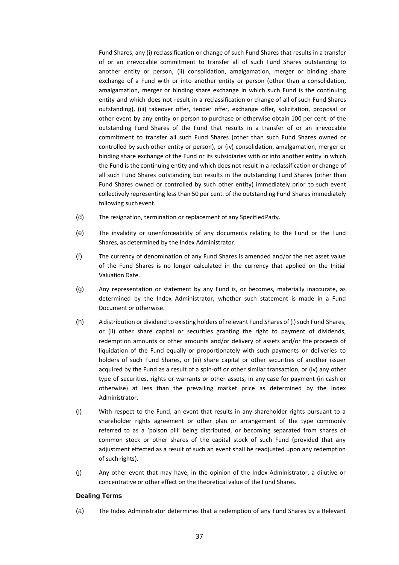Fund Shares, any (i) reclassification or change of such Fund Shares that results in a transfer of or an irrevocable commitment to transfer all of such Fund Shares outstanding to another entity or person, (ii) consolidation, amalgamation, merger or binding share exchange of a Fund with or into another entity or person (other than a consolidation, amalgamation, merger or binding share exchange in which such Fund is the continuing entity and which does not result in a reclassification or change of all of such Fund Shares outstanding), (iii) takeover offer, tender offer, exchange offer, solicitation, proposal or other event by any entity or person to purchase or otherwise obtain 100 per cent. of the outstanding Fund Shares of the Fund that results in a transfer of or an irrevocable commitment to transfer all such Fund Shares (other than such Fund Shares owned or controlled by such other entity or person), or (iv) consolidation, amalgamation, merger or binding share exchange of the Fund or its subsidiaries with or into another entity in which the Fund is the continuing entity and which does not result in a reclassification or change of all such Fund Shares outstanding but results in the outstanding Fund Shares (other than Fund Shares owned or controlled by such other entity) immediately prior to such event collectively representing less than 50 per cent. of the outstanding Fund Shares immediately following suchevent.

- (d) The resignation, termination or replacement of any SpecifiedParty.
- (e) The invalidity or unenforceability of any documents relating to the Fund or the Fund Shares, as determined by the Index Administrator.
- (f) The currency of denomination of any Fund Shares is amended and/or the net asset value of the Fund Shares is no longer calculated in the currency that applied on the Initial Valuation Date.
- (g) Any representation or statement by any Fund is, or becomes, materially inaccurate, as determined by the Index Administrator, whether such statement is made in a Fund Document or otherwise.
- (h) Adistribution or dividend to existing holders of relevant Fund Shares of (i) such Fund Shares, or (ii) other share capital or securities granting the right to payment of dividends, redemption amounts or other amounts and/or delivery of assets and/or the proceeds of liquidation of the Fund equally or proportionately with such payments or deliveries to holders of such Fund Shares, or (iii) share capital or other securities of another issuer acquired by the Fund as a result of a spin-off or other similar transaction, or (iv) any other type of securities, rights or warrants or other assets, in any case for payment (in cash or otherwise) at less than the prevailing market price as determined by the Index Administrator.
- (i) With respect to the Fund, an event that results in any shareholder rights pursuant to a shareholder rights agreement or other plan or arrangement of the type commonly referred to as a 'poison pill' being distributed, or becoming separated from shares of common stock or other shares of the capital stock of such Fund (provided that any adjustment effected as a result of such an event shall be readjusted upon any redemption of such rights).
- (j) Any other event that may have, in the opinion of the Index Administrator, a dilutive or concentrative or other effect on the theoretical value of the Fund Shares.

### **Dealing Terms**

(a) The Index Administrator determines that a redemption of any Fund Shares by a Relevant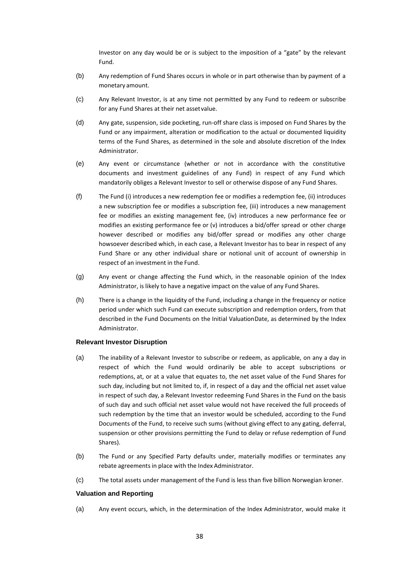Investor on any day would be or is subject to the imposition of a "gate" by the relevant Fund.

- (b) Any redemption of Fund Shares occurs in whole or in part otherwise than by payment of a monetary amount.
- (c) Any Relevant Investor, is at any time not permitted by any Fund to redeem or subscribe for any Fund Shares at their net assetvalue.
- (d) Any gate, suspension, side pocketing, run-off share class is imposed on Fund Shares by the Fund or any impairment, alteration or modification to the actual or documented liquidity terms of the Fund Shares, as determined in the sole and absolute discretion of the Index Administrator.
- (e) Any event or circumstance (whether or not in accordance with the constitutive documents and investment guidelines of any Fund) in respect of any Fund which mandatorily obliges a Relevant Investor to sell or otherwise dispose of any Fund Shares.
- (f) The Fund (i) introduces a new redemption fee or modifies a redemption fee, (ii) introduces a new subscription fee or modifies a subscription fee, (iii) introduces a new management fee or modifies an existing management fee, (iv) introduces a new performance fee or modifies an existing performance fee or (v) introduces a bid/offer spread or other charge however described or modifies any bid/offer spread or modifies any other charge howsoever described which, in each case, a Relevant Investor has to bear in respect of any Fund Share or any other individual share or notional unit of account of ownership in respect of an investment in the Fund.
- (g) Any event or change affecting the Fund which, in the reasonable opinion of the Index Administrator, is likely to have a negative impact on the value of any Fund Shares.
- (h) There is a change in the liquidity of the Fund, including a change in the frequency or notice period under which such Fund can execute subscription and redemption orders, from that described in the Fund Documents on the Initial ValuationDate, as determined by the Index Administrator.

### **Relevant Investor Disruption**

- (a) The inability of a Relevant Investor to subscribe or redeem, as applicable, on any a day in respect of which the Fund would ordinarily be able to accept subscriptions or redemptions, at, or at a value that equates to, the net asset value of the Fund Shares for such day, including but not limited to, if, in respect of a day and the official net asset value in respect of such day, a Relevant Investor redeeming Fund Shares in the Fund on the basis of such day and such official net asset value would not have received the full proceeds of such redemption by the time that an investor would be scheduled, according to the Fund Documents of the Fund, to receive such sums (without giving effect to any gating, deferral, suspension or other provisions permitting the Fund to delay or refuse redemption of Fund Shares).
- (b) The Fund or any Specified Party defaults under, materially modifies or terminates any rebate agreements in place with the Index Administrator.
- (c) The total assets under management of the Fund is less than five billion Norwegian kroner.

### **Valuation and Reporting**

(a) Any event occurs, which, in the determination of the Index Administrator, would make it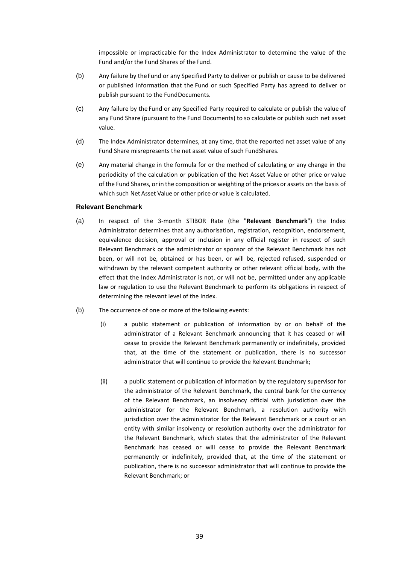impossible or impracticable for the Index Administrator to determine the value of the Fund and/or the Fund Shares of theFund.

- (b) Any failure by theFund or any Specified Party to deliver or publish or cause to be delivered or published information that the Fund or such Specified Party has agreed to deliver or publish pursuant to the FundDocuments.
- (c) Any failure by the Fund or any Specified Party required to calculate or publish the value of any Fund Share (pursuant to the Fund Documents) to so calculate or publish such net asset value.
- (d) The Index Administrator determines, at any time, that the reported net asset value of any Fund Share misrepresents the net asset value of such FundShares.
- (e) Any material change in the formula for or the method of calculating or any change in the periodicity of the calculation or publication of the Net Asset Value or other price or value of the Fund Shares, or in the composition or weighting of the prices or assets on the basis of which such Net Asset Value or other price or value is calculated.

### **Relevant Benchmark**

- (a) In respect of the 3-month STIBOR Rate (the "**Relevant Benchmark**") the Index Administrator determines that any authorisation, registration, recognition, endorsement, equivalence decision, approval or inclusion in any official register in respect of such Relevant Benchmark or the administrator or sponsor of the Relevant Benchmark has not been, or will not be, obtained or has been, or will be, rejected refused, suspended or withdrawn by the relevant competent authority or other relevant official body, with the effect that the Index Administrator is not, or will not be, permitted under any applicable law or regulation to use the Relevant Benchmark to perform its obligations in respect of determining the relevant level of the Index.
- (b) The occurrence of one or more of the following events:
	- (i) a public statement or publication of information by or on behalf of the administrator of a Relevant Benchmark announcing that it has ceased or will cease to provide the Relevant Benchmark permanently or indefinitely, provided that, at the time of the statement or publication, there is no successor administrator that will continue to provide the Relevant Benchmark;
	- (ii) a public statement or publication of information by the regulatory supervisor for the administrator of the Relevant Benchmark, the central bank for the currency of the Relevant Benchmark, an insolvency official with jurisdiction over the administrator for the Relevant Benchmark, a resolution authority with jurisdiction over the administrator for the Relevant Benchmark or a court or an entity with similar insolvency or resolution authority over the administrator for the Relevant Benchmark, which states that the administrator of the Relevant Benchmark has ceased or will cease to provide the Relevant Benchmark permanently or indefinitely, provided that, at the time of the statement or publication, there is no successor administrator that will continue to provide the Relevant Benchmark; or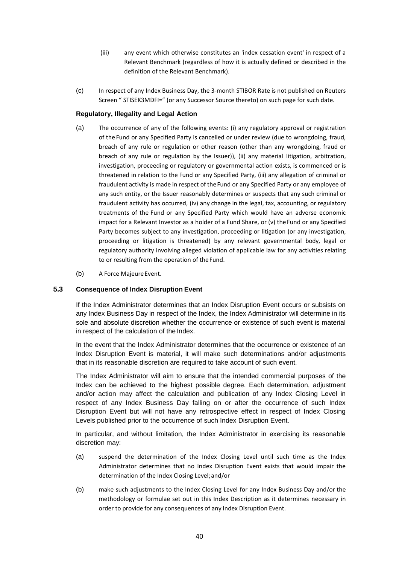- (iii) any event which otherwise constitutes an 'index cessation event' in respect of a Relevant Benchmark (regardless of how it is actually defined or described in the definition of the Relevant Benchmark).
- (c) In respect of any Index Business Day, the 3-month STIBOR Rate is not published on Reuters Screen " STISEK3MDFI=" (or any Successor Source thereto) on such page for such date.

# **Regulatory, Illegality and Legal Action**

- (a) The occurrence of any of the following events: (i) any regulatory approval or registration of the Fund or any Specified Party is cancelled or under review (due to wrongdoing, fraud, breach of any rule or regulation or other reason (other than any wrongdoing, fraud or breach of any rule or regulation by the Issuer)), (ii) any material litigation, arbitration, investigation, proceeding or regulatory or governmental action exists, is commenced or is threatened in relation to the Fund or any Specified Party, (iii) any allegation of criminal or fraudulent activity is made in respect of theFund or any Specified Party or any employee of any such entity, or the Issuer reasonably determines or suspects that any such criminal or fraudulent activity has occurred, (iv) any change in the legal, tax, accounting, or regulatory treatments of the Fund or any Specified Party which would have an adverse economic impact for a Relevant Investor as a holder of a Fund Share, or (v) theFund or any Specified Party becomes subject to any investigation, proceeding or litigation (or any investigation, proceeding or litigation is threatened) by any relevant governmental body, legal or regulatory authority involving alleged violation of applicable law for any activities relating to or resulting from the operation of theFund.
- (b) A Force Majeure Event.

# **5.3 Consequence of Index Disruption Event**

If the Index Administrator determines that an Index Disruption Event occurs or subsists on any Index Business Day in respect of the Index, the Index Administrator will determine in its sole and absolute discretion whether the occurrence or existence of such event is material in respect of the calculation of the Index.

In the event that the Index Administrator determines that the occurrence or existence of an Index Disruption Event is material, it will make such determinations and/or adjustments that in its reasonable discretion are required to take account of such event.

The Index Administrator will aim to ensure that the intended commercial purposes of the Index can be achieved to the highest possible degree. Each determination, adjustment and/or action may affect the calculation and publication of any Index Closing Level in respect of any Index Business Day falling on or after the occurrence of such Index Disruption Event but will not have any retrospective effect in respect of Index Closing Levels published prior to the occurrence of such Index Disruption Event.

In particular, and without limitation, the Index Administrator in exercising its reasonable discretion may:

- (a) suspend the determination of the Index Closing Level until such time as the Index Administrator determines that no Index Disruption Event exists that would impair the determination of the Index Closing Level;and/or
- (b) make such adjustments to the Index Closing Level for any Index Business Day and/or the methodology or formulae set out in this Index Description as it determines necessary in order to provide for any consequences of any Index Disruption Event.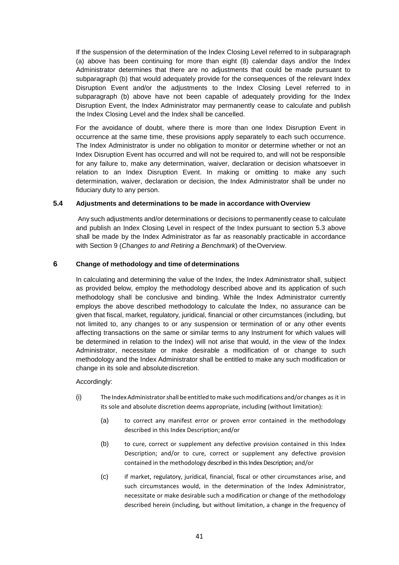If the suspension of the determination of the Index Closing Level referred to in subparagraph (a) above has been continuing for more than eight (8) calendar days and/or the Index Administrator determines that there are no adjustments that could be made pursuant to subparagraph (b) that would adequately provide for the consequences of the relevant Index Disruption Event and/or the adjustments to the Index Closing Level referred to in subparagraph (b) above have not been capable of adequately providing for the Index Disruption Event, the Index Administrator may permanently cease to calculate and publish the Index Closing Level and the Index shall be cancelled.

For the avoidance of doubt, where there is more than one Index Disruption Event in occurrence at the same time, these provisions apply separately to each such occurrence. The Index Administrator is under no obligation to monitor or determine whether or not an Index Disruption Event has occurred and will not be required to, and will not be responsible for any failure to, make any determination, waiver, declaration or decision whatsoever in relation to an Index Disruption Event. In making or omitting to make any such determination, waiver, declaration or decision, the Index Administrator shall be under no fiduciary duty to any person.

# **5.4 Adjustments and determinations to be made in accordance withOverview**

Any such adjustments and/or determinations or decisions to permanently cease to calculate and publish an Index Closing Level in respect of the Index pursuant to section 5.3 above shall be made by the Index Administrator as far as reasonably practicable in accordance with Section 9 (*Changes to and Retiring a Benchmark*) of theOverview.

### <span id="page-40-0"></span>**6 Change of methodology and time of determinations**

In calculating and determining the value of the Index, the Index Administrator shall, subject as provided below, employ the methodology described above and its application of such methodology shall be conclusive and binding. While the Index Administrator currently employs the above described methodology to calculate the Index, no assurance can be given that fiscal, market, regulatory, juridical, financial or other circumstances (including, but not limited to, any changes to or any suspension or termination of or any other events affecting transactions on the same or similar terms to any Instrument for which values will be determined in relation to the Index) will not arise that would, in the view of the Index Administrator, necessitate or make desirable a modification of or change to such methodology and the Index Administrator shall be entitled to make any such modification or change in its sole and absolute discretion.

### Accordingly:

- (i) The IndexAdministratorshall be entitled to make suchmodifications and/or changes as it in its sole and absolute discretion deems appropriate, including (without limitation):
	- (a) to correct any manifest error or proven error contained in the methodology described in this Index Description; and/or
	- (b) to cure, correct or supplement any defective provision contained in this Index Description; and/or to cure, correct or supplement any defective provision contained in the methodology described in this Index Description; and/or
	- (c) if market, regulatory, juridical, financial, fiscal or other circumstances arise, and such circumstances would, in the determination of the Index Administrator, necessitate or make desirable such a modification or change of the methodology described herein (including, but without limitation, a change in the frequency of